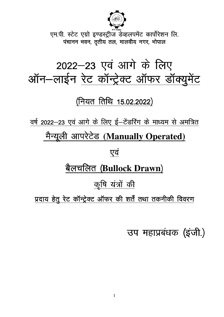

एम.पी. स्टेट एग्रो इण्डस्ट्रीज डेव्हलपमेंट कार्पोरेशन लि. पंचानन भवन, तृतीय तल, मालवीय नगर, भोपाल

# 2022–23 एवं आगे के लिए ऑन-लाईन रेट कॉन्ट्रेक्ट ऑफर डॉक्युमेंट

(नियत तिथि 15.02.2022)

वर्ष 2022-23 एवं आगे के लिए ई-टेडरिंग के माध्यम से अमंत्रित मैन्यूली आ<u>परेटेड (Manually Operated)</u>

एवं

# <u>बैलचलित (Bullock Drawn)</u>

<u>कृषि यंत्रों की</u>

प्रदाय हेतू रेट कॉन्ट्रेक्ट ऑफर की शर्तें तथा तकनीकी विवरण

उप महाप्रबंधक (इजी.)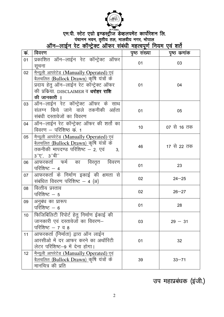

# 

| कं.             | विवरण                                                                                                                                                                                       | पृष्ठ संख्या | पृष्ठ कमांक |
|-----------------|---------------------------------------------------------------------------------------------------------------------------------------------------------------------------------------------|--------------|-------------|
| 01              | प्रकाशित ऑन–लाईन रेट कॉन्ट्रेक्ट ऑफर<br>सूचना                                                                                                                                               | 01           | 03          |
| 02              | मैन्यूली आपरेटेड (Manually Operated) एवं<br><u>बैलचलित (Bullock Drawn) कृ</u> षि यंत्रों के<br>प्रदाय हेतु ऑन–लाईन रेट कॉन्ट्रेक्ट ऑफर<br>की प्रकिया. DISCLAIMER व धरोहर राशि<br>की जानकारी | 01           | 04          |
| 03              | ऑन–लाईन रेट कॉन्ट्रेक्ट ऑफर के साथ<br>संलग्न किये जाने वाले तकनीकी अर्हता<br>संबंधी दस्तावेजों का विवरण                                                                                     | 01           | 05          |
| 04              | ऑन-लाईन रेट कॉन्ट्रेक्ट ऑफर की शर्तो का<br>विवरण – परिशिष्ठ क्रं. 1                                                                                                                         | 10           | 07 से 16 तक |
| 05              | मैन्यूली आपरेटेड (Manually Operated) एवं<br><u>बैलचलित (Bullock Drawn) कृ</u> षि यंत्रों के<br>तकनीकी मापदण्ड परिशिष्ट – 2, एवं<br>3,<br>$3''\nabla', 3''$ बी"                              | 46           | 17 से 22 तक |
| 06              | आफरकर्ता फर्म का विस्तृत विवरण<br>परिशिष्ट $-4$                                                                                                                                             | 01           | 23          |
| 07              | आफरकर्ता के निर्माण इकाई की क्षमता से<br>संबंधित विवरण परिशिष्ट – 4 (अ)                                                                                                                     | 02           | $24 - 25$   |
| 08              | वित्तीय प्रस्ताव<br>परिशिष्ट $-5$                                                                                                                                                           | 02           | $26 - 27$   |
| 09              | अनुबंध का प्रारूप<br>परिशिष्ट $-6$                                                                                                                                                          | 01           | 28          |
| 10              | फिजिबिलिटी रिपोर्ट हेतु निर्माण ईकाई की<br>जानकारी एवं दस्तावेजों का विवरण-<br>परिशिष्ट $-7$ व 8                                                                                            | 03           | $29 - 31$   |
| 11              | आफरकर्ता (निर्माता) द्वारा ऑन लाईन<br>आरसीओ में दर आफर करने का अथॉरिटी<br>लेटर परिशिष्ट-9 में देना होगा।                                                                                    | 01           | 32          |
| 12 <sup>°</sup> | <u>मैन्यूली आपरेटेड (Manually Operated) एवं</u><br><u>बैलचलित (Bullock Drawn) कृ</u> षि यंत्रों के<br>मानचित्र की प्रति                                                                     | 39           | $33 - 71$   |

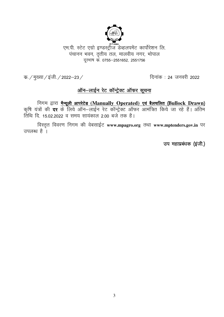

एम.पी. स्टेट एग्रो इण्डस्ट्रीज डेव्हलपमेंट कार्पोरेशन लि. पंचानन भवन, तृतीय तल, मालवीय नगर, भोपाल दरभाष क. 0755-2551652, 2551756

क. / मुख्या / इंजी. / 2022–23 /

<u> दिनांक : 24 जनवरी 2022</u>

### <u>ऑन-लाईन रेट कॉन्ट्रेक्ट ऑफर सूचना</u>

निगम द्वारा <u>मैन्यूली आपरेटेड (Manually Operated) एवं बैलचलित (Bullock Drawn)</u><br>कृषि यंत्रों की दर के लिये ऑन–लाईन रेट कॉन्ट्रेक्ट ऑफर आमंत्रित किये जा रहे हैं। अंतिम तिथि दि. 15.02.2022 व समय सायंकाल 2.00 बजे तक है।

विस्तृत विवरण निगम की वेबसाईट www.mpagro.org तथा www.mptenders.gov.in पर उपलब्ध है ।

उप महाप्रबंधक (इंजी.)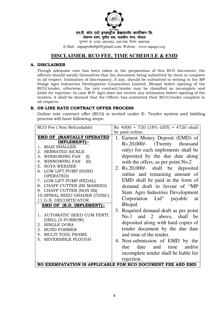

एम.पी. स्टेट एग्रो इण्डस्ट्रीज डेव्हलपमेंट कार्पोरेशन लि.

पंचानन भवन, तृतीय तल, मालवीय नगर, भोपाल

दूरभाष क. 0755-2551652, 2551756 फेक्स-2557305

E-Mail : mpagrohobpl@gmail.com, Website : www.mpagro.org

### **DISCLAIMER, RCO FEE, TIME SCHEDULE & EMD**

### **A. DISCLAIMER**

Though adequate care has been taken in the preparation of this RCO document, the offerers should satisfy themselves that the document being submitted by them is complete in all respect. Intimation of discrepancy, if any, should be submitted in writing to the MP Statge Agro Industries Development Corporation Limited, Bhopal before opening of the RCO/tender, otherwise, the rate contract/tender may be classified as incomplete and liable for rejection. In case M.P. Agro does not receive any intimation before opening of the tenders, it shall be deemed that the Offerer has submitted their RCO/tender complete in all respects.

### **B. ON LINE RATE CONTRACT OFFER PROCESS**

Online rate contract offer (RCO) is invited under E- Tender system and bidding process will have following steps:

| RCO Fee (Non Refundable)                                                                                                                                                                                                                                                                                                                                                                  | Rs $4000 + 720$ (18% GST) = 4720 shall                                                                                                                                                                                                                                                                                                                                             |
|-------------------------------------------------------------------------------------------------------------------------------------------------------------------------------------------------------------------------------------------------------------------------------------------------------------------------------------------------------------------------------------------|------------------------------------------------------------------------------------------------------------------------------------------------------------------------------------------------------------------------------------------------------------------------------------------------------------------------------------------------------------------------------------|
|                                                                                                                                                                                                                                                                                                                                                                                           | be paid online.                                                                                                                                                                                                                                                                                                                                                                    |
| <b>EMD OF (MANUALLY OPERATED</b>                                                                                                                                                                                                                                                                                                                                                          | 1. Earnest Money Deposit (EMD) of                                                                                                                                                                                                                                                                                                                                                  |
| IMPLEMENT):-<br><b>MAIZ SHALLER</b><br>$\mathbf{1}$<br><b>SERRATED SICKLE</b><br>2.<br>WINNOWING FAN<br>З.<br>(I)<br>WINNOWING FAN<br>(II)<br>4.<br>5. SOYA WEEDER<br>6. LOW.LIFT.PUMP (HAND<br>OPERATED)<br>7. LOW.LIFT.PUMP (PEDAL)<br>8. CHAFF CUTTER (ISI MARKED)<br>9. CHAFF CUTTER (NON ISI)<br>10. SPIRAL SEED GRADER (7DISC)<br>11.G.N. DECORTICATOR<br>EMD OF (B.D. IMPLEMENT):- | Rs.20,000/- (Twenty thousand<br>only) for each implements shall be<br>deposited by the due date along<br>with the offers, as per point No.2<br>2. $Rs.20,000/-$ shall be deposited<br>online and remaining amount of<br>EMD shall be paid in the form of<br>demand draft in favour of "MP<br><b>State Agro Industries Development</b><br>Corporation Ltd" payable<br>at<br>Bhopal. |
| 1. AUTOMATIC SEED CUM FERTI.<br>DRILL (3-FURROW)<br>2. SINGLE DORA<br><b>BUND FORMER</b><br>3.<br><b>MULTI TOOL FRAME</b><br>4.<br>REVERSIBLE PLOUGH<br>5.                                                                                                                                                                                                                                | 3. Required demand draft as per point<br>No.1 and 2 above, shall be<br>deposited along with hard copies of<br>tender document by the due date<br>and time of the tender.<br>4. Non-submission of EMD by the<br>and<br>time<br>date<br>and/or<br>due<br>incomplete tender shall be liable for<br>rejection.<br>NO EXEMPATATION IS APPLICABLE FOR RCO DOCUMENT FEE AND EMD           |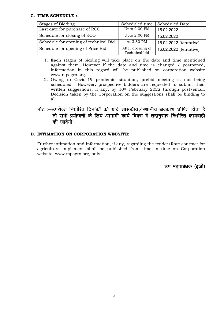### **C. TIME SCHEDULE :-**

| Stages of Bidding                     | Scheduled time                    | <b>Scheduled Date</b>  |
|---------------------------------------|-----------------------------------|------------------------|
| Last date for purchase of RCO         | Upto 2.00 PM                      | 15.02.2022             |
| Schedule for closing of RCO           | Upto 2.00 PM                      | 15.02.2022             |
| Schedule for opening of technical Bid | At 3.30 PM                        | 16.02.2022 (tentative) |
| Schedule for opening of Price Bid     | After opening of<br>Technical bid | 16.02.2022 (tentative) |

- 1. Each stages of bidding will take place on the date and time mentioned against them. However if the date and time is changed / postponed, information in this regard will be published on corporation website www.mpagro.org.
- 2. Owing to Covid-19 pendemic situation, prebid meeting is not being scheduled. However, prospective bidders are requested to submit their written suggestions, if any, by 10<sup>th</sup> February 2022 through post/email. Decision taken by the Corporation on the suggestions shall be binding to all.

### नोट :–उपरोक्त निर्धारित दिनांकों को यदि शासकीय */ स्थानीय अवकाश घोषित होता है* .<br>तो सभी प्रयोजनों के लिये आगामी कार्य दिवस में तदानूसार निर्धारित कार्यवाही की जावेगी।

### **D. INTIMATION ON CORPORATION WEBSITE:**

Further intimation and information, if any, regarding the tender/Rate contract for agriculture implement shall be published from time to time on Corporation website, www.mpagro.org, only.

उप महाप्रबंधक (इंजी)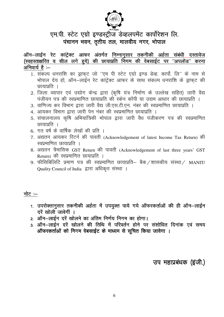

### एम.पी. स्टेट एग्रो इण्डस्ट्रीज डेव्हलपमेंट कार्पोरेशन लि. पंचानन भवन, तृतीय तल, मालवीय नगर, भोपाल

ऑन-लाईन रेट कांट्रेक्ट आफर अंतर्गत निम्नानुसार तकनीकी अर्हता संबंधी दस्तावेज (स्वहस्ताक्षरित व सील लगे हुये) की छायाप्रति निगम की वेबसाईट पर ''अपलोड'' करना अनिवार्य है :–

- 1. संकल्प धनराशि का ड्राफ्ट जो "एम पी स्टेट एग्रो इण्ड डेव्ह. कार्पो. लि" के नाम से भोपाल देय हो, ऑन–लाईन रेट कांटेक्ट आफर के साथ संकल्प धनराशि के डाफट की छायाप्रति ।
- 2. जिला व्यापार एवं उद्योग केन्द्र द्वारा (कृषि यंत्र निर्माण के उल्लेख सहित) जारी वैद्य पंजीयन पत्र की स्वप्रमाणित छायाप्रति की स्केन कॉपी या उद्यम आधार की छायाप्रति ।
- 3. वाणिज्य कर विभाग द्वारा जारी वैद्य जीएस.टी.एन. नंबर की स्वप्रमाणित छायाप्रति ।
- 4. आयकर विभाग द्वारा जारी पेन नंबर की स्वप्रमाणित छायाप्रति ।
- 5. संचालनालय कृषि अभियांत्रिकी भोपाल द्वारा जारी वैध पंजीकरण पत्र की स्वप्रमाणित छायाप्रति ।
- 6. गत वर्ष के वार्षिक लेखों की प्रति ।
- 7. अद्यतन आयकर रिटर्न की पावती (Acknowledgement of latest Income Tax Return) की स्वप्रमाणित छायाप्रति ।
- 8. अद्यतन त्रैमासिक GST Return की पावती (Acknowledgement of last three years' GST Return) की स्वप्रमाणित छायाप्रति ।
- 9. फीसिबिलिटि प्रमाण पत्र की स्वप्रमाणित छायाप्रति– बैक⁄शासकीय संस्था⁄ MANIT/ Quality Council of India द्वारा अधिकृत संस्था ।

### नोट $:=$

- 1. उपरोक्तानुसार तकनीकी अर्हता में उपयुक्त पाये गये ऑफरकर्ताओं की ही ऑन-लाईन दरें खोली जावेगीं ।
- 2. ऑन-लाईन दरें खोलने का अंतिम निर्णय निगम का होगा।
- 3. ऑन—लाईन दरें खोलने की तिथि में परिवर्तन होने पर संशोधित दिनांक एवं समय ऑफरकर्ताओं को निगम वेबसाईट के माध्यम से सुचित किया जावेगा ।

### उप महाप्रबंधक (इजी.)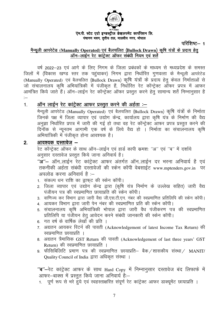

### एम.पी. स्टेट एग्रो इण्डस्ट्रीज डेव्हलपमेंट कार्पोरेशन लि. पंचानन भवन, तुतीय तल, मालवीय नगर, भोपाल

परिशिष्ट $-1$ 

### <u>मैन्यूली आपरेटेड (Manually Operated) एवं बैलचलित (Bullock Drawn) कृषि यंत्रों के प्रदाय हेतु</u> ऑन–लाईन रेट कांटेक्ट ऑफर संबंधी नियम एवं शर्ते

वर्ष 2022–23 एवं आगे के लिए निगम के जिला प्रबंधकों के माध्यम से मध्यप्रदेश के समस्त जिलों में (विकास खण्ड स्तर तक पहुंचाकर) निगम द्वारा निर्धारित गुणवत्ता के मैन्यूली आपरेटेड (Manually Operated) एवं बैलचलित (Bullock Drawn) कृषि यंत्रों के प्रदाय हेतू केवल निर्माताओं से जो संचालनालय कृषि अभियांत्रिकी में पंजीकृत हैं, निर्धारित रेट कॉन्ट्रेक्ट ऑफर प्रपत्र में आफर आमंत्रित किये जाते हैं। ऑन–लाईन रेट कॉन्ट्रेक्ट ऑफर प्रस्तत करने हेत सामान्य शर्ते निम्नानसार है  $=$ 

#### ऑन लाईन रेट कांट्रेक्ट आफर प्रस्तुत करने की अर्हता :—  $\mathbf{1}$

मैन्यूली आपरेटेड (Manually Operated) एवं बैलचलित (Bullock Drawn) कृषि यंत्रों के निर्माता जिनके पक्ष में जिला व्यापार एवं उद्योग केन्द्र, कार्यालय द्वारा कृषि यंत्र के निर्माण की वैद्य अनुज्ञा निर्धारित प्रपत्र में जारी की गई हो तथा वह रेट कॉन्ट्रेक्ट आफर प्रपत्र प्रस्तुत करने की दिनॉक से न्यूनतम आगामी एक वर्ष के लिये वैद्य हो । निर्माता का संचालनालय कृषि अभियांत्रिकी में पंजीकृत होना आवश्यक है।

#### आवश्यक दस्तावेज –  $\overline{2}$

रेट कॉन्ट्रेक्ट ऑफर के साथ ऑन–लाईन एवं हार्ड कापी क्रमशः "अ" एवं "ब" में दर्शाये अनुसार दस्तावेज प्रस्तुत किये जाना अनिवार्य है।

"अ"- ऑन..लाईन रेट कांट्रेक्ट आफर अंतर्गत ऑन..लाईन दर भरना अनिवार्य है एवं तकनीकी अर्हता संबंधी दस्तावेजों की स्केन कॉपी वेबसाईट www.mptenders.gov.in पर अपलोड करना अनिवार्य है :-

- 1. संकल्प धन राशि का ड्राफट की स्केन कॉपी।
- 2. जिला व्यापार एवं उद्योग केन्द्र द्वारा (कृषि यंत्र निर्माण के उल्लेख सहित) जारी वैद्य पंजीयन पत्र की स्वप्रमाणित छायाप्रति की स्केन कॉपी।
- 3. वाणिज्य कर विभाग द्वारा जारी वैद्य जी.एस.टी.एन. नंबर की स्वप्रमाणित प्रतिलिपि की स्केन कॉपी।
- 4. आयकर विभाग द्वारा जारी पेन नंबर की स्वप्रमाणित प्रति की स्केन कॉपी।
- 5. संचालनालय कृषि अभियांत्रिकी भोपाल द्वारा जारी वैध पंजीकरण पत्र की स्वप्रमाणित प्रतिलिपि या पंजीयन हेतु आवेदन करने संबंधी जानकारी की स्केन कॉपी।
- 6. गत वर्ष के वार्षिक लेखों की प्रति ।
- 7. अद्यतन आयकर रिटर्न की पावती (Acknowledgement of latest Income Tax Return) की स्वप्रमाणित छायाप्रति ।
- 8. अद्यतन त्रैमासिक GST Return की पावती (Acknowledgement of last three years' GST Return) की स्वप्रमाणित छायाप्रति ।
- 9. फीसिबिलिटि प्रमाण पत्र की स्वप्रमाणित छायाप्रति– बैक⁄शासकीय संस्था⁄ MANIT/ Quality Council of India द्वारा अधिकृत संस्था ।

"ब"-रेट कांट्रेक्ट आफर के साथ Hard Copy में निम्नानुसार दस्तावेज बंद लिफाफे में आफर-बाक्स में प्रस्तूत किये जाना अनिवार्य है:-

1. पूर्ण रूप से भरे हुये एवं स्वहस्ताक्षरित संपूर्ण रेट कांट्रेक्ट आफर डाक्युमेंट छायाप्रति ।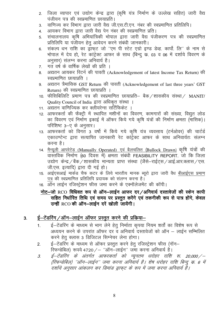- 2. जिला व्यापार एवं उद्योग केन्द्र द्वारा (कृषि यंत्र निर्माण के उल्लेख सहित) जारी वैद्य पंजीयन पत्र की स्वप्रमाणित छायाप्रति ।
- वाणिज्य कर विभाग द्वारा जारी वैद्य जी.एस.टी.एन. नंबर की स्वप्रमाणित प्रतिलिपि।  $3<sup>1</sup>$
- आयकर विभाग द्वारा जारी वैद्य पेन नंबर की स्वप्रमाणित प्रति।  $4<sup>1</sup>$
- संचालनालय कृषि अभियांत्रिकी भोपाल द्वारा जारी वैद्य पंजीकरण पत्र की स्वप्रमाणित  $5<sup>1</sup>$ प्रतिलिपि या पंजीयन हेत आवेदन करने संबंधी जानकारी।
- संकल्प धन राशि का ड्रॉफट जो ''एम पी स्टेट एग्रो इण्ड डेव्ह. कार्पो. लि'' के नाम से  $6<sup>1</sup>$ भोपाल में देय हो, रेट कांटेक्ट आफर के साथ (बिन्द क. 03 व 06 में दर्शाये विवरण के अनसार) संलग्न करना अनिवार्य है।
- गत वर्ष के वार्षिक लेखों की प्रति ।  $7<sup>1</sup>$
- अद्यतन आयकर रिटर्न की पावती (Acknowledgement of latest Income Tax Return) की  $\mathsf{R}$ स्वप्रमाणित छायाप्रति ।
- अद्यतन त्रैमासिक GST Return की पावती (Acknowledgement of last three years' GST  $9<sub>1</sub>$ Return) की स्वप्रमाणित छायाप्रति ।
- 10. फीसिबिलिटि प्रमाण पत्र की स्वप्रमाणित छायाप्रति– बैक / शासकीय संस्था / MANIT/ Ouality Council of India द्वारा अधिकत संस्था ।
- 11. अद्यतन वाणिज्यिक कर क्लीयरेन्स सर्टिफिकेट ।
- 12. आफरकर्ता की फैक्ट्री में स्थापित मशीनों का विवरण, कामगारों की संख्या, विद्युत लोड का विवरण एवं निर्माण इकाई में ऑफर किये गये कृषि यंत्रों की निर्माण क्षमता (मासिक)। परिशिष्ट 3-ए के अनुसार।
- 13. आफरकर्ता को विगत 3 वर्षों में किये गये कृषि यंत्र व्यवसाय (टर्नओवर) की चार्टर्ड एकाउण्टेन्ट द्वारा सत्यापित जानकारी रेट कांटेक्ट आफर के साथ अनिवार्यतः संलग्न करना है।
- 14. <u>मैन्यूली आपरेटेड (Manually Operated) एवं बैलचलित (Bullock Drawn)</u> कृषि यंत्रों की वास्तविक निर्माण (60 दिवस में) क्षमता संबंधी FEASIBILITY REPORT. जो कि जिला उद्योग केन्द्र / बैंक / शासकीय मान्यता प्राप्त संस्था (जैंसे–राईट्स / आई.आर.क्लास / एस. जी.एस. इत्यादि) द्वारा दी गई हो।
- 15. आईएसआई मार्कड चैफ कटर के लिये भारतीय मानक ब्यूरो द्वारा जारी वैध बीआईएस प्रमाण पत्र की स्वप्रमाणित प्रतिलिपि प्रदायक को संलग्न करना है।
- 16. ऑन लाईन रजिस्ट्रेशन फीस जमा करने के एक्नॉलेजमेंट की कॉपी।

### नोट-जो RCO विधिवत रूप से ऑन-लाईन आफर दर/अनिवार्य दस्तावेजों की स्केन कापी .<br>सहित निर्धारित तिथि एवं समय पर प्रस्तुत करेंगे एवं तकनीकी रूप से पात्र होंगे, केवल उन्हीं RCO की ऑन-लाईन दरें खोली जायेंगी।

#### ई-टेंडरिंग /ऑन-लाईन ऑफर प्रस्तत करने की प्रकिया- $3.$

- ई-टेंडरिंग के माध्यम से भाग लेने हेतू निर्माता कृपया नियम शर्तों का विशेष रूप से  $\mathbf 1$ अध्ययन करने के उपरांत ऑफर दर व अनिवार्य दस्तावेजों को ऑन – लाईन सम्मिलित करने हेतु क्लास 3 डिजिटल सिग्नेचर लेना होगा।
- ई–टेंडरिंग के माध्यम से ऑफर प्रस्तुत करने हेतु रजिस्ट्रेशन फीस (नॉन–  $2.$ रिफन्डेबिल) रूपये 4720 / – "ऑन-लाईन" जमा करना अनिवार्य है।
- ई–टेंडरिंग के अंतर्गत आफरकर्ता को न्यूनतम धरोहर राशि रू. 20,000/—  $\mathcal{Z}$ (रिफन्डेबिल) ''ऑन–लाईन'' जमा करना अनिवार्य है। शेष धरोहर राशि बिन्दु क 6 में .<br>दर्शाये अनुसार आंकलन कर डिमांड डाफट के रूप में जमा करना अनिवार्य है।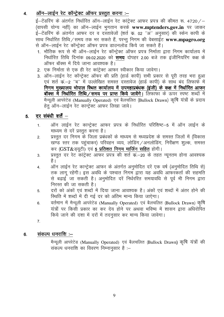#### <u>ऑन–लाईन रेट कॉन्ट्रेक्ट ऑफर प्रस्तुत करना :–</u>  $\overline{4}$ .

ई-टेंडरिंग के अंतर्गत निर्धारित ऑन-लाईन रेट कांट्रेक्ट आफर प्रपत्र की कीमत रू. 4720/-(वापसी योग्य नहीं) का ऑन–लाईन भगतान करके www.mptenders.gov.in पर जाकर ई–टेंडरिंग के अंतर्गत आफर दर व दस्तावेजों (शर्त क. 02 ''अं'' अनुसार) की स्केन कापी के साथ निर्धारित तिथि ⁄ समय तक भर सकते हैं, परन्तु निगम की वेबसाईट www.mpagro.org से ऑन–लाईन रेट कॉन्ट्रेक्ट ऑफर प्रपत्र डाउनलोड किये जा सकते हैं।

- 1. भौतिक रूप से भी ऑन-लाईन रेट कॉन्ट्रेक्ट ऑफर प्रपत्र निर्माता द्वारा निगम कार्यालय में निर्धारित तिथि दिनांक 09.02.2020 को समय दोपहर 2.00 बजे तक इंजीनियरिंग कक्ष के ऑफर बॉक्स में दिये जाना आवश्यक है।
- 2. एक निर्माता से एक ही रेट कांट्रेक्ट आफर स्वीकार किया जावेगा।
- 3. ऑन-लाईन रेट कॉन्ट्रेक्ट ऑफर की प्रति (हार्ड कापी) सभी प्रकार से पूरी तरह भरा हुआ एवं शर्त क–2 ''ब'' में उल्लेखित समस्त दस्तावेज (हार्ड कापी) के साथ बंद लिफाफे में निगम मुख्यालय भोपाल स्थित कार्यालय में उपमहाप्रबंधक (इंजी) के कक्ष में निर्धारित आफर बॉक्स में निर्धारित तिथि/समय पर प्राप्त किये जावेंगे। लिफाफा के ऊपर स्पष्ट शब्दों में मैन्यूली आपरेटेड (Manually Operated) एवं बैलचलित (Bullock Drawn) कृषि यंत्रों के प्रदाय हेतु ऑन-लाईन रेट कान्ट्रेक्ट आफर लिखा जावे।

#### दर संबंधी शर्तें  $-$ 5.

- ऑन लाईन रेट कान्ट्रेक्ट आफर प्रपत्र के निर्धारित परिशिष्ट–5 में ऑन लाईन के  $1.$ माध्यम से दरें प्रस्तुत करना है।
- प्रस्तुत दर निगम के जिला प्रबंधकों के माध्यम से मध्यप्रदेश के समस्त जिलों में (विकास  $2.$ खण्ड स्तर तक पहचाकर) परिवहन व्यय, लोडिंग /अनलोडिंग, निरीक्षण शुल्क, समस्त कर (GST&ड्यूटी) एवं 5 प्रतिशत निगम मार्जिन सहित होगी।
- प्रस्तुत दर रेट कांट्रेक्ट आफर प्रपत्र की शर्त क–20 के तहत न्यूनतम होना आवश्यक 3. है ।
- ऑन लाईन रेट कान्ट्रेक्ट आफर के अंतर्गत अनुमोदित दरें एक वर्ष (अनुमोदित तिथि से) 4. तक लाग रहेंगी। इस अवधि के पश्चात निगम द्वारा यह अवधि आफरकर्ता की सहमति से बढ़ाई जा सकती है। अनुमोदित दरें निर्धररित समयावधि से पूर्व भी निगम द्वारा निरस्त की जा सकती है।
- दरों को अंकों एवं शब्दों में दिया जाना आवश्यक है। अंकों एवं शब्दों में अंतर होने की 5. स्थिति में शब्दों में दी गई दर को अंतिम मान्य किया जाऐगा।
- वर्तमान में मैन्यूली आपरेटेड (Manually Operated) एवं बैलचलित (Bullock Drawn) कृषि  $6.$ यंत्रों पर किसी प्रकार का कर देय होने पर अथवा भविष्य में शासन द्वारा अधिरोपित किये जाने की दशा में दरों में तदनसार कर मान्य किया जावेगा।
- $\overline{7}$ .

#### संकल्प धनराशि :–  $6.$

मैन्यूली आपरेटेड (Manually Operated) एवं बैलचलित (Bullock Drawn) कृषि यंत्रों की सकल्प धनराशि का विवरण निम्नानुसार है :–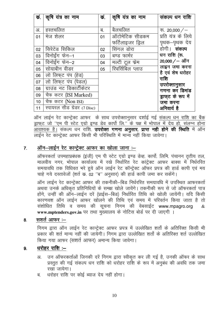| कं. | कृषि यंत्र का नाम           | कं. | कृषि यंत्र का नाम | संकल्प धन राशि           |
|-----|-----------------------------|-----|-------------------|--------------------------|
|     |                             |     |                   |                          |
| अ.  | हस्तचलित                    | ब.  | बैलचलित           | रू. 20,000 $/$ –         |
| 01  | मेज शेलर                    | 01  | ऑटोमेटिक सीडकम    | प्रति यंत्र के लिये      |
|     |                             |     | फर्टिलाइजर ड्रिल  | पृथक—पृथक देय            |
| 02  | सिरेटेड सिकिल               | 02  | सिंगल डोरा        | होगी। <b>संकल्प</b>      |
| 03  | विनोईंग फेन–1               | 03  | बण्ड फार्मर       | धन राशि (रू.             |
| 04  | विनोईंग फेन–2               | 04  | मल्टी टूल फ्रेम   | $20,000 / - 3$ गॅन       |
| 05  | सोयाबीन वीडर                | 05  | रिवर्सिबिल प्लाउ  | लाइन जमा करना            |
| 06  | लो लिफ्ट पंप (हेड)          |     |                   | है एवं शेष धरोहर<br>राशि |
| 07  | लो लिफ्ट पंप (पेडल)         |     |                   | उपरोक्तानुसार            |
| 08  | ग्राउंड नट डिकार्टीकेटर     |     |                   | गणना कर डिमांड           |
| 09  | चैफ कटर (ISI Marked)        |     |                   | ड्राफ्ट के रूप में       |
| 10  | चैफ कटर (Non ISI)           |     |                   | जमा करना                 |
| 11  | स्पायरल सीड ग्रेडर (7 Disc) |     |                   | अनिवार्य है              |

ऑन लाईन रेट कान्ट्रेक्ट आफर) के साथ उपरोक्तानुसार दर्शाई गई संकल्प धन राशि का बैंक ड्राफ्ट जो "एम पी स्टेट एग्रो इण्ड डेव कार्पो लि." के पक्ष में भोपाल में देय हो, संलग्न होना लाईन रेट कान्ट्रेक्ट आफर किसी भी परिस्थिति में मान्य नहीं किया जावेगा।

#### ऑन-लाईन रेट कान्ट्रेक्ट आफर का खोला जाना :- $\overline{7}$ .

ऑफरकर्ता उपमहाप्रबंधक (इंजी) एम पी स्टेट एग्रो इण्ड डेव्ह. कार्पो. लिमि. पंचानन तृतीय तल, मालवीय नगर, भोपाल कार्यालय में रखे निर्धारित रेट कांट्रेक्ट आफर बाक्स में निर्धररित समयावधि तक विधिवत भरे हुये ऑन लाईन रेट कॉन्ट्रेक्ट ऑफर प्रपत्र की हार्ड कापी एवं मय चाहे गये दस्तावेजों (शर्त क. 02 "ब" अनुसार) की हार्ड कापी जमा कर सकेंगे।

ऑन लाईन रेट कान्ट्रेक्ट आफर की तकनीकी–बिड निर्धररित समयावधि में उपस्थित आफरकर्ता अथवा उनके अधिकृत प्रतिनिधियों के समक्ष खोले जावेंगे। तकनीकी रूप से जो ऑफरकर्ता पात्र होंगे, उन्हीं की ऑन–लाईन दरें (प्राईस–बिड) निर्धारित तिथि को खोली जायेंगी। यदि किसी कारणवश ऑन लाईन आफर खोलने की तिथि एवं समय में परिवर्तन किया जाता है तो संशोधित तिथि व समय की सूचना निगम की वेबसाईट www.mpagro.org  $\mathcal{R}$ www.mptenders.gov.in पर तथा मुख्यालय के नोटिस बोर्ड पर दी जाएगी ।

#### सशर्त आफर :-8.

निगम द्वारा ऑन लाईन रेट कान्ट्रेक्ट आफर प्रपत्र में उल्लेखित शर्तो के अतिरिक्त किसी भी प्रकार की शर्त मान्य नहीं की जायेगी। निगम द्वारा उल्लेखित शर्तो के अतिरिक्त शर्त उल्लेखित किया गया आफर (सशर्त आफर) अमान्य किया जावेगा।

#### धरोहर राशि :-9.

- उन ऑफरकर्ताओं जिनकी दरें निगम द्वारा स्वीकृत कर ली गई है, उनकी ऑफर के साथ अ. प्रस्तुत की गई संकल्प धन राशि को धरोहर राशि के रूप में अनुबंध की अवधि तक जमा रखा जायेगा।
- धरोहर राशि पर कोई ब्याज देय नहीं होगा। ब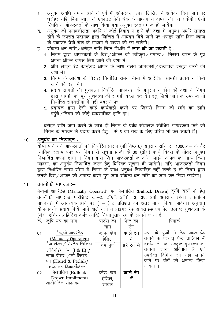- अनुबंध अवधि समाप्त होने के पूर्व भी ऑफरकता द्वारा लिखित में आवेदन दिये जाने पर स धर्राहर राशि बिना ब्याज के एकाउंट पेयी चैक के माध्यम से वापस की जा सकेगी। ऐसी स्थिति में ऑफरकर्ता के साथ किया गया अनबंध स्वतःसमाप्त हो जायेगा।
- अनबंध की प्रभावशीलता अवधि में कोई विवाद न होने की दशा में अनबंध अवधि समाप्त द. होने के उपरांत प्रदायक द्वारा लिखित में आवेदन दिये जाने पर धरोहर राशि बिना ब्याज के एकाउंट पेयी चैक के माध्यम से वापस की जा सकेगी।
- संकल्प धन राशि ⁄ धरोहर राशि निम्न स्थिति में **जप्त की जा सकती** है :– इ.
	- 1. निगम द्वारा आफरकर्ता के बिड/ऑफर को स्वीकृत/अमान्य/ निरस्त करने के पूर्व अपना ऑफर वापस लिये जाने की दशा में।
	- 2. ऑन लाईन रेट कान्ट्रेक्ट आफर के साथ गलत जानकारी / दस्तावेज प्रस्तुत करने की दशा में।
	- 3. निगम के आदेश के विरूद्ध निर्धारित समय सीमा में आदेशित सामग्री प्रदाय न किये जाने की दशा में।
	- 4. प्रदाय सामग्री की गुणवत्ता निर्धारित मापदंण्डों के अनुरूप न होने की दशा में निगम द्वारा सामग्री को पूर्ण गुणवत्ता की सामग्री बदल कर देने हेतु लिखे जाने के उपरान्त भी निर्धारित समयसीमा में नही बदलने पर।
	- 5. प्रदायक द्वारा ऐसी कोई कार्यवाही करने पर जिससे निगम की छवि को हानि पहंचे / निगम को कोई व्यवसायिक हानि हो।

धरोहर राशि जप्त करने के साथ ही निगम के प्रबंध संचालक संबंधित आफरकर्ता फर्म को निगम के माध्यम से प्रदाय करने हेतु 1 से 5 वर्ष तक के लिए वंचित भी कर सकते हैं।

#### अनुबंध का निष्पादन :-- $10.$

योग्य पाये गये आफरकर्ता को निर्धारित प्रारूप (परिशिष्ठ 6) अनुसार राशि रू. 1000 / - के गैर न्यायिक स्टाम्प पेपर पर निगम से सूचना प्राप्ती के 30 (तीस) कार्य दिवस के भीतर अनुबंध निष्पादित करना होगा । निगम द्वारा जिन आफरकर्ता के ऑन–लाईन आफर को मान्य किया जावेगा, को अनुबंध निष्पादित करने हेतू विधिवत सूचना दी जावेगी। यदि आफरकर्ता निगम द्वारा निर्धारित समय सीमा में निगम के साथ अनुबंध निष्पादित नहीं करते है तो निगम द्वारा उनके बिड ⁄ आफर को अमान्य करते हुए जमा संकल्प धन राशि को जप्त कर लिया जायेगा।

#### तकनीकी मापदंड :–  $11.$

मैन्यूली आपरेटेड (Manually Operated) एवं बैलचलित (Bullock Drawn) कृषि यंत्रों के हेतू तकनीकी मापदण्ड परिशिष्ट कं.–2, 2''ए'', 2''बी', 3, 3ए, 3बी अनुसार रहेंगे। तकनीको मापदण्डों में आवश्यक होने पर ( + ) 5 प्रतिशत का अंतर मान्य किया जावेगा। अनुदान योजनांतर्गत प्रदाय किये जाने वाले यंत्रों में प्राइमर रेड आक्साइड एवं पेंट उत्कृष्ट गुणवत्ता के (जैसे—एशियन / ब्रिटिश वर्जर आदि) निम्नानसार रंग के लगाये जाना है:—

| क. | कृषि यंत्र का नाम          | पाटेस् का    | पेन्ट का    | रमाक                                   |
|----|----------------------------|--------------|-------------|----------------------------------------|
|    |                            | नाम          | रंग         |                                        |
| 01 | मैन्यूली आपरेटेड           | ब्लेड, फ्रेम | काले रंग    | यंत्रों के<br>पुजो में रेड आक्साईड     |
|    | (Manually-Operated)        | हेंडिल       | में         | लगाने के पश्चात् पेन्ट तालिका में      |
|    | मैज शैलर / सिरेटेड सिकिल   | शेष पूर्ज    | हरे रंग में | दर्शाया रंग का उत्कृष्ट गुणवत्ता<br>का |
|    | $/$ विनोइंग फेन (I & II) / |              |             | है<br>अनिवाये<br>जाना<br>लगाया<br>एव   |
|    | सोया वीडर /लो लिफट         |              |             | विभिन्न रंग नही<br>उपरोक्त<br>लगाये    |
|    | पंप (Hand & Pedal)/        |              |             | जाने पर यंत्रों को अमान्य<br>किया      |
|    | ग्राउंड नट डिकार्टीकेटर    |              |             | जावेगा                                 |
| 02 | बैलचलित (Bullock           | ब्लेड, फ्रेम | काले रंग    |                                        |
|    | Drawn Impliment)           | हेंडिल,      | में         |                                        |
|    | आटोमैटिक सीड कम            | शावल         |             |                                        |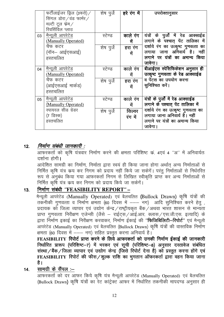|    | फर्टीलाईजर ड्रिल (3फरो) $\angle$ | शेष पुजे   | हरे रंग में | उपरोक्तानुसार                       |
|----|----------------------------------|------------|-------------|-------------------------------------|
|    | सिंगल डोरा ∕ वंड फार्मर ∕        |            |             |                                     |
|    | मल्टी टूल फ्रेम $\angle$         |            |             |                                     |
|    | रिवर्सिविल प्लाउ                 |            |             |                                     |
| 03 | मैन्यूली आपरेटेड                 | स्टेण्ड    | काले रंग    | यंत्रों के पुर्जों में रेड आक्साईड  |
|    | (Manually Operated)              |            | में         | लगाने के पश्चात् पेंट तालिका में    |
|    | चैफ कटर                          | शेष पुर्जे | हरा रंग     | दर्शाये रंग का उत्कृष्ट गुणवत्ता का |
|    | (नॉन– आईएसआई)                    |            | में         | लगाया जाना अनिवार्य है। नहीं        |
|    | हस्तचलित                         |            |             | लगाने पर यंत्रों का अमान्य किया     |
|    |                                  |            |             | जावेगा।                             |
| 04 | मैन्यूली आपरेटेड                 | स्टेण्ड    | काले रंग    | बीआईएस स्पेसिफिकेशन अनुसार ही       |
|    | (Manually Operated)              |            | में         | उत्कृष्ट गुणवत्ता के रेड आक्साईड    |
|    | चैफ कटर                          | शेष पुर्जे | हरा रंग     | व पेंटस का उपयोग करना               |
|    | (आईएसआई मार्कड)                  |            | में         | सुनिश्चित करें।                     |
|    | हस्तचलित                         |            |             |                                     |
| 05 | मैन्यूली आपरेटेड                 | स्टेण्ड    | काले रंग    | यंत्रों के पुर्जों में रेड आक्साईड  |
|    | (Manually Operated)              |            | में         | लगाने के पश्चात् पेंट तालिका में    |
|    | स्पायरल सीड ग्रेडर               | शेष पुर्जे | सिल्वर      | दर्शाये रंग का उत्कृष्ट गुणवत्ता का |
|    | (7 डिस्क)                        |            | रंग में     | लगाया जाना अनिवार्य है। नहीं        |
|    | हस्तचलित                         |            |             | लगाने पर यंत्रों का अमान्य किया     |
|    |                                  |            |             | जावेगा।                             |

#### निर्माण संबंधी जानकारी :  $12.$

आफरकर्ता को कृषि यंत्रवार निर्माण करने की क्षमता परिशिष्ट क. 4एवं 4 "अ" में अनिवार्यतः दर्शाना होगी।

आदेशित सामग्री का निर्माण, निर्माता द्वारा स्वयं ही किया जाना होगा अर्थात अन्य निर्माताओं से निर्मित कृषि यंत्र क्रय कर निगम को प्रदाय नहीं किये जा सकेगें। परंतु निर्माताओं से निर्धररित रूप से अनुबंध किया गया आफरकर्ता निगम से लिखित स्वीकृति प्राप्त कर अन्य निर्माताओं से निर्मित कृषि यंत्र क्रय कर निगम को प्रदाय किये जा सकेगें।

#### निर्माण संबंधी "FEASIBILITY REPORT" –  $13.$

मैन्यूली आपरेटेड (Manually Operated) एवं बैलचलित (Bullock Drawn) कृषि यंत्रों की तकनीकी गुणवत्ता व निर्माण क्षमता (60 दिवस में --- नग) आदि सुनिश्चित करने हेतू, प्रदायक को जिला व्यापार एवं उद्योग केन्द्र /राष्ट्रीयकृत बैंक /अथवा भारत शासन से मान्यता प्राप्त गुणवत्ता निरीक्षण एजेन्सी (जैसे – राईट्स / आई.आर. क्लास / एस.जी.एस. इत्यादि) के द्वारा निर्माण इकाई का निरीक्षण करवाकर, निर्माण ईकाई की "**फिजिबिलिटी–रिपोर्ट**" एवं मैन्युली आपरेटेड (Manually Operated) एवं बैलचलित (Bullock Drawn) कृषि यंत्रों की वास्तविक निर्माण क्षमता (60 दिवस में --- नग) सहित प्रस्तत करना अनिवार्य है।

FEASIBILITY रिपोर्ट प्राप्त करने के लिये आफरकर्ता को उनकी निर्माण ईकाई की जानकारी निर्धारित प्रारूप (परिशिष्ट-7) में भरकर एवं सूची (परिशिष्ट-8) अनुसार दस्तावेज संबंधित संस्था/बैंक/जिला व्यापार एवं उद्योग केन्द्र (जिसे रिपोर्ट देना है) को प्रस्तुत करना होंगे एवं FEASIBILITY रिपोर्ट की फीस/शूल्क राशि का भुगतान ऑफरकर्ता द्वारा वहन किया जाना है।

#### सामग्री के सैंपल :—  $14.$

आफरकर्ता को दर आफर किये कृषि यंत्र मैन्यूली आपरेटेड (Manually Operated) एवं बैलचलित (Bullock Drawn) कृषि यंत्रों का रेट कांट्रेक्ट आफर में निर्धारित तकनीकी मापदण्ड अनुसार ही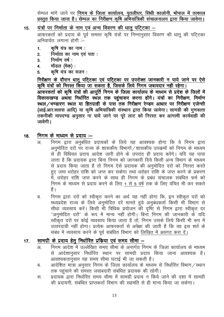सेम्पल मांगे जाने पर **निगम के जिला कार्यालय, पुतलीघर, सिंधी कालोनी, भोपाल में तत्काल** प्रस्तुत किया जाना है। सेम्पल का निरीक्षण कृषि अभियांत्रिकी संचालनालय द्वारा किया जावेगा।

#### यंत्रों पर निर्माता के नाम एवं अन्य विवरण की धातु पटि़टका –  $15.$

आफरकर्ता को प्रदाय के पूर्व समस्त कृषि यंत्रों पर निम्नानुसार विवरण की धातू की पटिटका अनिवार्यतः लगाना होगी :–

- कषि यंत्र का नाम :  $\blacksquare$
- निर्माता का नाम एवं पता :  $2<sub>1</sub>$
- निर्माण वर्ष:  $\overline{3}$ .
- मॉडल (मेक) :  $\overline{4}$
- कृषि यंत्र का वजन : 5.

निरीक्षण के दौरान धातू पटि्टका एवं पटि्टका पर उपरोक्त जानकारी न पाये जाने पर ऐसे कृषि यंत्रों को निरस्त किया जा सकता है, जिसके लिये निगम जबावदार नही रहेगा।

आफरकर्ता को कृषि यंत्रों की आपूर्ति निगम के जिला कार्यालय के माध्यम से प्रदेश के जिलों में विकासखण्ड अथवा निर्धारित स्थल तक पहुंचाकर करना होंगे। यंत्रों का निरीक्षण, निर्माण स्थल/भण्डारण स्थल या हितग्राही के पास तक निरीक्षण रेण्डम आधार पर निरीक्षण एजेन्सी (आई.आर.क्लास आदि) या कृषि अभियांत्रिकी संस्थान द्वारा किया जावेगा। सामग्री की गुणवत्ता तकनीकी मापदण्ड अनुसार ना पाये जाने पर पूरे लाट को निरस्त कर आगामी कार्यवाही की जावेगी।

#### निगम के माध्यम से प्रदाय :– 16.

- ЗT अनुमोदित दरों पर राज्य के शासकीय विभागों /शासकीय उपक्रमों को निगम के माध्यम से ही विधिवत प्रदाय आदेश जारी होने के उपरांत ही प्रदाय करेंगे। यदि यह पाया जाता है कि प्रदायक द्वारा बिना निगम को जानकारी दिये किसी अन्य विभाग के माध्यम से प्रदाय किया जाता है तो निगम ऐसे प्रदायक की अनुमोदित दरों को निरस्त करते हए जमा धरोहर राशि को जप्त कर सकेगा तथा धरोहर राशि के जप्त करने के प्रकरण में, धरोहर राशि जप्त करने के साथ ही निगम के प्रबंध संचालक संबंधित फर्म को निगम के माध्यम से प्रदाय करने के लिए 1 से 5 वर्ष तक के लिए वंचित भी कर सकते हैं ।
- निगम द्वारा दरों को स्वीकृत करने का अर्थ यह नहीं होगा कि, इन स्वीकृत दरों को ब मध्यप्रदेश राज्य के लिये अनुमोदित दरें मानते हुये अनुबंधकर्ता किसी भी विभाग से सीधा व्यवसाय करें। किसी भी विधिक प्रयोजन की दृष्टि से निगम द्वारा स्वीकृत दर "अनुमोदित दरों" के रूप में मान्य नहीं होगी। बिना निगम की जानकारी के यदि स्वीकृत दरों पर कोई व्यवसाय किया जाता है तो, निगम उसके लिये किसी भी रूप में उत्तरदायी नहीं होगा। प्रत्येक आफरकर्ता से अपेक्षा की जाती है कि वह इस शर्त के संबंध में व्यवसाय करने के पूर्व संबंधित विभाग को लिखित में अवगत करा दें।

#### सामग्री के प्रदाय हेत निर्धारित प्रक्रिया एवं समय सीमा –  $17.$

- निगम आदेश में उल्लेखित समय सीमा के अन्तर्गत निगम के जिला कार्यालय के माध्यम  $\overline{31}$ से आदेशानुसार निर्धारित स्थान पर सामग्री प्रदाय किया जाना आवश्यक है। आवश्यकतानुसार यह समय सीमा घटाई भी जा सकती है।
- आदेशित मात्रा अनुसार निगम के जिला कार्यालय के माध्यम से निर्धारित विभाग/स्थान ब. तक पहुंचाने की समस्त जवाबदारी संबंधित प्रदायक की रहेगी।
- प्रदायक द्वारा निर्धारित समय सीमा में सामग्री प्रदाय न किये जाने की दशा में सामग्री रन. की प्रदायगी संबंधित प्राप्तकर्ता विभाग की सहमति से ही मान्य किया जा सकेगा।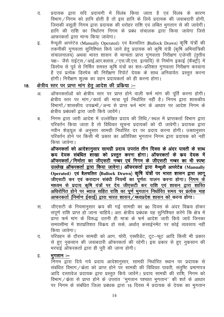- प्रदायक द्वारा यदि प्रदायगी में विलंब किया जाता है एवं विलंब के कारण द. विभाग / निगम को हानि होती है तो इस हानि के लिये प्रदायक की जवाबदारी होगी. जिसकी वसली निगम द्वारा प्रदायक की धरोहर राशि एवं लंबित भगतान से की जावेगी। हानि की राशि का निर्धारण निगम के प्रबंध संचालक द्वारा किया जावेगा जिसे आफरकर्ता द्वारा मान्य किया जावेगा।
- मैन्यूली आपरेटेड (Manually Operated) एवं बैलचलित (Bullock Drawn) कृषि यंत्रों की इ. तकनीकी गुणवत्ता सुनिश्चित किये जाने हेतु प्रदायक को कृषि यंत्री (कृषि अभियांत्रिकी संचालनालय) अथवा भारत शासन से मान्यता प्राप्त गुणवत्ता निरीक्षण एजेन्सी (तृतीय पक्ष- जैसे राईटस /आई.आर.क्लास. /एस.जी.एस. इत्यादि) से निर्माण इकाई (फैक्ट्री) में डिस्पेच से पूर्व से निर्मित समस्त कृषि यंत्रों का शत–प्रतिशत गुणवत्ता निरीक्षण करवाना है एवं प्रत्येक डिस्पेच की निरीक्षण रिपोर्ट देयक के साथ अनिवार्यतः प्रस्तत करना होगी। निरीक्षण शुल्क का वहन प्रदायकर्ता को ही करना होगा।

#### क्षेत्रीय स्तर पर प्राप्त मांग हेतू आदेश की प्रकिया :-18.

- ऑफरकर्ताओं को क्षेत्रीय स्तर पर प्राप्त होने वाली फर्म मांग की पूर्ति करना होगी।  $3I$ क्षेत्रीय स्तर पर मांग/कार्य की मात्रा पूर्व निर्धारित नहीं है। निगम द्वारा शासकीय विभागों / शासकीय उपक्रमों / अन्य से प्राप्त फर्म मांग के आधार पर आदेश निगम के क्षेत्रीय प्रबंधकों द्वारा जारी किये जावेंगे।
- निगम द्वारा जारी आदेश में उल्लेखित प्रदाय की तिथि / स्थल में प्राप्तकर्ता विभाग द्वारा ब परिवर्तन किया जाता है तो विधिवत सूचना प्रदायकों को दी जावेगी। प्रदायक द्वारा नवीन शेडयल के अनुसार सामग्री निर्धारित दर पर प्रदाय करना होगी। उक्तानुसार परिवर्तन होने पर किसी भी प्रकार का अतिरिक्त भगतान निगम द्वारा प्रदायक को नहीं किया जावेगा।

ऑफरकर्ता को आदेशानुसार सामग्री प्रदाय उपरांत तीन दिवस के अंदर पावती के साथ कय देयक संबंधित शाखा को प्रस्तुत करना होगा। ऑफरकर्ता के कय देयक में ऑफरकर्ता/निर्माता का जीएसटी नम्बर एवं निगम के जीएसटी नम्बर का भी स्पष्ट उल्लेख ऑफरकर्ता द्वारा किया जावेगा। ऑफरकर्ता द्वारा मैन्यूली आपरेटेड (Manually Operated) एवं बैलचलित (Bullock Drawn) कृषि यंत्रों पर भारत शासन द्वारा लागू जीएसटी कर एवं करादान संबंधी नियमों का पूर्णतः पालन करना होगा। <u>निगम के</u> माध्यम से प्रदाय कृषि यंत्रों पर देय जीएसटी कर राशि एवं शासन द्वारा शास्ति अधिरोपित होने पर ब्याज सहित राशि का पूर्ण भूगतान निर्धारित समय पर प्रत्येक माह आफरकर्ता (निर्माण ईकाई) द्वारा भारत शासन / मध्यप्रदेश शासन को करना होगा।

- जीएसटी के नियमानुसार कय की गई सामग्री का 90 दिवस के अंदर विकय होकर स. संपर्ण राशि प्राप्त हो जाना चाहिये। अतः क्षेत्रीय प्रबंधक यह सनिश्चित करेंगे कि क्षेत्र में प्राप्त फर्म मांग के विरूद्ध उतनी ही मात्रा के फर्म आदेश जारी किये जावें जिनका समयसीमा में शतप्रतिशत विक्रय हो सके, अर्थात कंसाईनमेंट पर कोई व्यवसाय नहीं किया जावेगा।
- परिवहन के दौरान सामग्री को आग, चोरी, एक्सीडेंट, टूट-फूट आदि किसी भी प्रकार ਰ. से हुए नुकसान की जवाबदारी ऑफरकर्ता की रहेगी। इस प्रकार से हुए नुकसान की भरपाई ऑफरकर्ता द्वारा ही पूरी की जाना होगी।
- भूगतान :-इ.

निगम द्वारा दिये गये प्रदाय आदेशानुसार, सामग्री निर्धारित स्थान पर प्रदायक से संबंधित विभाग / केता को प्राप्त होने पर सामग्री की विधिवत पावती, संतुष्टि प्रमाणपत्र आदि दस्तावेज प्रदायक द्वारा प्रस्तूत किये जावेंगे। प्रदाय सामग्री की राशि, निगम को विभाग / केता से प्राप्त होने के उपरांत "भुगतान पश्चात भुगतान" की शर्त के आधार पर निगम के संबंधित जिला प्रबंधक द्वारा 15 दिवस में प्रदायक के देयक का भगतान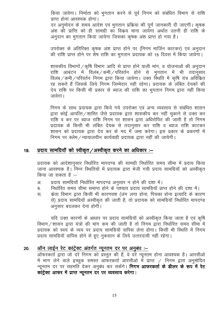किया जावेगा। निर्माता को भुगतान करने से पूर्व निगम को संबंधित विभाग से राशि प्राप्त होना आवश्यक होगा। दर अनुमोदन के समय आदेश एवं भुगतान प्रक्रिया की पूर्ण जानकारी दी जाएगी। कृषक अंश की प्राप्ति को ही सामग्री का विक्रय माना जायेगा अर्थात उतनी ही राशि के अनदान का भगतान किया जायेगा जिसका कषक अंश प्राप्त हो गया है।

उपरोक्त के अतिरिक्त कृषक अंश प्राप्त होने पर (निगम मार्जिन काटकर) एवं अनुदान की राशि प्राप्त होने पर शेष राशि का भुगतान प्रदायक को 15 दिवस में किया जावेगा।

शासकीय विभागों / कृषि विभाग आदि से प्राप्त होने वाली मांग, व योजनाओं की अनदान राशि आबंटन में विलंब */* कमी / परिवर्तन होने से भुगतान में भी तदानुसार विलंब / कमी / परिवर्तन) निगम द्वारा किया जावेगा। उक्त स्थिति में कृषि यंत्र अविकित रह सकते हैं जिसके लिये निगम जिम्मेदार नहीं रहेगा। प्रदायक के लंबित देयकों की देय राशि पर किसी भी प्रकार से ब्याज की राशि का भगतान निगम द्वारा नहीं किया जावेगा।

निगम के साथ प्रदायक द्वारा किये गये उपरोक्त एवं अन्य व्यवसाय से संबंधित शासन द्वारा कोई आपत्ति / शास्ति जैसे प्रदायक द्वारा शासकीय कर नहीं चकाने से उक्त कर राशि व कर पर ब्याज राशि निगम पर शासन द्वारा अधिरोपित की जाती है तो निगम प्रदायक के किसी भी लंबित देयक से तदानुसार कर राशि व ब्याज राशि काटकर शासन को प्रदायक द्वारा देय कर के मद में जमा करेगा। इस प्रकार के प्रकरणों में निगम पर क्लेम / न्यायालयीन कार्यवाही प्रदायक द्वारा नहीं की जायेगी।

#### प्रदाय सामग्रियॉ को स्वीकृत /अस्वीकृत करने का अधिकार :-19.

प्रदायक को आदेशानुसार निर्धारित मापदण्ड की सामग्री निर्धारित समय सीमा में प्रदाय किया जाना आवश्यक है। निम्न स्थितियों में प्रदायक द्वारा भेजी गयी प्रदाय सामग्रियॉ को अस्वीकृत किया जा सकता है :–

- प्रदाय सामग्रियॉ निर्धारित मापदण्ड अनुसार न होने की दशा में। अ.
- निर्धारित समय सीमा समाप्त होने के पश्चात प्रदाय सामग्रियाँ प्राप्त होने की दशा में। ब
- केता विभाग द्वारा किसी भी कारणवश (जंग लगा होना, पिचका होना इत्यादि के कारण स. से) प्रदाय सामग्रियॉ अस्वीकृत की जाती है, तो प्रदायक को सामग्रियॉ निर्धारित मापदण्ड अनुसार बदलकर देना होगी।

यदि उक्त कारणों के आधार पर प्रदाय सामग्रियॉ को अस्वीकृत किया जाता है एवं कृषि विभाग / शासन द्वारा यंत्रों की मांग कम की जाती है तो निगम द्वारा निर्धारित समय सीमा में प्रदायक को स्वयं के व्यय पर प्रदाय सामग्रियाँ वापिस लेना होगा। किसी भी स्थिति में निगम प्रदाय सामग्रियॉ वापिस होने से हुए नुकसान के लिये उत्तरदायी नहीं रहेगा।

#### ऑन लाईन रेट कांट्रेक्ट अंतर्गत न्यूनतम दर पर अनुबंध :-20.

ऑफरकर्ता द्वारा जो दरें निगम को प्रस्तुत की हैं, वे दरें न्यूनतम होना आवश्यक है। आरसीओ में भाग लेने वाले इच्छुक समस्त आफरकर्ता आरसीओ में प्राप्त / निगम द्वारा अनुमोदित न्यूनतम दर पर सहमति देकर अनुबंध कर सकेंगे। **निगम आफरकर्ता के डीलर के रूप में रेट** कांट्रेक्ट आफर में प्राप्त न्यूनतम दर पर व्यवसाय करेगा।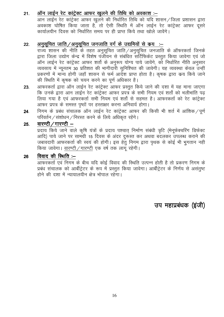#### ऑन लाईन रेट <u>कांट्रेक्ट आफर खुलने की तिथि को अवकाश :-</u>  $21.$

आने सारे में उनका है .<br>अवकाश घोषित किया जाता है, तो ऐसी स्थिति में ऑन लाईन रेट कांट्रेक्ट आफर दूसरे कार्यालयीन दिवस को निर्धारित समय पर ही प्राप्त किये तथा खोले जावेंगे।

#### अनुसूचित जाति /अनुसूचित जनजाति वर्ग के उद्यमियों से क्रय :–  $22<sub>1</sub>$

राज्य शासन की नीति के तहत अनुसूचित जाति / अनुसूचित जनजाति के ऑफरकर्ता जिनके द्वारा जिला उद्योग केन्द्र में विशेष पंजीयन से संबंधित सर्टिफिकेट प्रस्तत किया जावेगा एवं जो ऑन लाईन रेट कांट्रेक्ट आफर शर्तो के अनुरूप योग्य पाये जावेंगे, को निर्धारित नीति अनुसार व्यवसाय में न्यूनतम 30 प्रतिशत की भागीदारी सुनिश्चित की जावेगी। यह व्यवस्था केवल उन्हीं प्रकरणों में मान्य होगी जहाँ शासन से फर्म आदेश प्राप्त होता है। कृषक द्वारा क्रय किये जाने की स्थिति में कषक को चयन करने का पर्ण अधिकार है।

- आफरकर्ता द्वारा ऑन लाईन रेट कांट्रेक्ट आफर प्रस्तुत किये जाने की दशा में यह माना जाएगा 23. कि उनके द्वारा आन लाईन रेट कांट्रेक्ट आफर प्रपत्र के सभी नियम एवं शर्तो को भलीभांति पढ़ लिया गया है एवं आफरकर्ता सभी नियम एवं शर्तो से सहमत है। आफरकर्ता को रेट कांट्रेक्ट आफर प्रपत्र के समस्त पृष्ठों पर हस्ताक्षर करना अनिवार्य होगा।
- निगम के प्रबंध संचालक ऑन लाईन रेट कांट्रेक्ट आफर की किसी भी शर्त में आंशिक ⁄ पूर्ण 24. परिवर्तन / संशोधन / निरस्त करने के लिये अधिकृत रहेंगे।

#### वारण्टी / गारण्टी  $-$ 25.

\_\_\_\_\_\_\_\_\_\_\_\_\_\_\_\_\_\_\_\_<br>प्रदाय किये जाने वाले कृषि यंत्रों के प्रदाय पश्चात् निर्माण संबंधी त्रृटि (मेनूफेक्चरिंग डिफेक्ट आदि) पाये जाने पर सामग्री 15 दिवस के अंदर दुरूस्त कर अथवा बदलकर उपलब्ध कराने की जबावदारी आफरकर्ता की स्वयं की होगी। इस हेतु निगम द्वारा पृथक से कोई भी भूगतान नही किया जावेगा। वारण्टी / गारण्टी एक वर्ष तक लागू रहेगी।

#### विवाद की स्थिति $=$ 26

आफरकर्ता एवं निगम के बीच यदि कोई विवाद की स्थिति उत्पन्न होती है तो प्रकरण निगम के प्रबंध संचालक को आर्बीट्रेटर के रूप में प्रस्तुत किया जावेगा। आर्बीट्रेटर के निर्णय से असंतुष्ट होने की दशा में न्यायालयीन क्षेत्र भोपाल रहेगा।

उप महाप्रबंधक (इजी)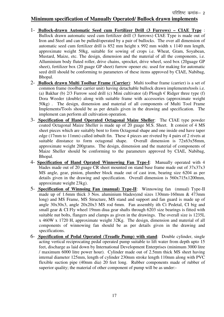### **Minimum specification of Manually Operated/ Bullock drawn implements**

- 1- **Bullock-drawn Automatic Seed cum Fertilizer Drill (3 Furrows) CIAE Type** : Bullock drawn automatic seed cum fertilizer drill (3 furrows) CIAE Type is made out of Iron and Steel and can be pulled/operated by a pair of bullocks. The over all dimension of automatic seed cum fertilizer drill is 852 mm height x 992 mm width x 1140 mm length, approximate weight 50kg, suitable for sowing of crops i.e. Wheat, Gram, Soyabean, Mustard, Maize, etc. The design, dimension and the material of all the components, i.e. Alluminium body fluted roller, drive chains, sprocket, drive wheel, seed box (20guage GP sheet), fertilizer box (20 guage GP sheet) furrow opener etc. used for making for automatic seed drill should be conforming to parameters of these items approved by CIAE, Nabibag, Bhopal.
- 2- **Bullock drawn Multi Toolbar Frame (Carrier)**: Multi toolbar frame (carrier) is a set of common frame (toolbar carrier unit) having detachable bullock drawn implements/tools i.e. (a) Bakhar (b) 2/3 Furrow seed drill (c) Mini cultivator (d) Plough  $\epsilon$  Ridger three type (f) Dora Weeder (double) along with suitable frame with accessories (approximate weight 50kg) . The design, dimension and material of all components of Multi Tool Frame Implements/Tools should be as per details given in the drawing and specification. The implement can perform all cultivation operation.
- 3- **Specification of Hand Operated Octagonal Maize Sheller**: The CIAE type powder coated Octagonal Maize Sheller is made up of 20 guage M.S. Sheet. It consist of 4 MS sheet pieces which are suitably bent to form Octagonal shape and one inside end have taper edge (17mm to 11mm) called inbuilt fin. These 4 pieces are riveted by 4 pairs of 2 rivets at suitable dinstance to form octagonal shape. Overall dimension is 72x63x58mm, approximate weight 200grams. The design, dimension and the material of components of Maize Sheller should be conforming to the parameters approved by CIAE, Nabibag, Bhopal.
- 4- **Specification of Hand Oprated Winnowing Fan Type-I**: Manually operated with 4 blades made out of 20 guage CR sheet mounted on stand base frame made out of 37x37x3 MS angle, gear, pinion, plumber block made out of cast iron, bearing size 6204 as per details given in the drawing and specification. Overall dimension is 560x715x1200mm, approximate weight 23kg).
- 5- **Specification of Winnoing Fan (manual) Type-II**: Winnowing fan (mnual) Type-II made up of 1.6mm thick 3 Nos. aluminium blades(end sizes 130mm-160mm & 473mm long) and MS Frame, MS Structure, MS stand and support and fan guard is made up of angle 30x30x3, angle 20x20x3 MS rod 6mm. Fan assembly ith Ci Pedetal, CI big and small gear & CI Fly wheel 19mm diua gear shafts through 6203 size bearings is fitted with suitable nut bolts, flangers and clamps as given in the drawings. The overall size is 1235L x 460W x 1720 H, approximate weight 32Kg. The design, dimension and material of all components of winnowing fan should be as per details given in the drawing and specifications.
- 6- **Specification of Pedal Operated (Treadle Pump) with stand**: Double cylinder, single acting vertical reciprocating pedal operated pump suitable to lift water from depth upto 15 feet, discharge as laid down by International Development Enterprises (minimum 3000 litre / maximum 6000 litre power hour). Cylinder made out of 2.5mm thick MS sheet having internal diameter 125mm, length of cylinder 230mm stroke length 110mm along with PVC flexible suction pipe (40mm dia) 20 feet long. Rubber components made of rubber of superior quality; the material of other component of pump will be as under:-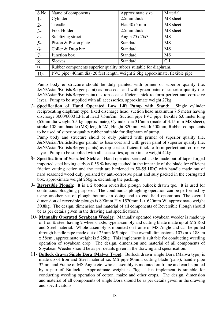| S.No. | Name of components                                                          | Approximate size | Material  |
|-------|-----------------------------------------------------------------------------|------------------|-----------|
| $1-$  | Cylinder                                                                    | 2.5mm thick      | MS sheet  |
| $2 -$ | Treadle                                                                     | Flat 40x5 mm     | MS sheet  |
| $3-$  | Foot Holder                                                                 | 2.5mm thick      | MS sheet  |
| $4-$  | Stablizing struct                                                           | Angle $25x25x3$  | <b>MS</b> |
| $5-$  | Piston & Piston plate                                                       | Standard         | <b>MS</b> |
| $6-$  | Coller & Drop bar                                                           | <b>Standard</b>  | <b>MS</b> |
| $7 -$ | Junction box                                                                | Standard         | <b>MS</b> |
| $8-$  | <b>Sleeves</b>                                                              | Standard         | G.I.      |
| $9-$  | Rubber components superior quality rubber suitable for diaphram.            |                  |           |
| $10-$ | PVC pipe (40mm dia) 20 feet length, weight 2.6kg appeoximate, flexible pipe |                  |           |

Pump body & structure should be duly painted with primer of superior quality (i.e. J&N/Asian/British/Berger paint) as base coat and with green paint of superior quality (i.e. J&N/Asian/British/Berger paint) as top coat sufficient thick to form perfect anti-corrosive layer. Pump to be supplied with all accessories, approximate weight 27kg.

7- **Specification of Hand Operated Low Lift Pump with Stand**: Single cylinder reciprocating diaphram type, fixed discharge head, suction head maximum 7.5 meter having discharge 3000/6000 LPH at head 7.5m/2m. Suction pipe PVC pipe, flexible 6.0 meter long (65mm dia weight 5.5 kg approximate), Cylinder dia 316mm (made of 3.15 mm MS sheet), stroke 108mm, handle (MS) length 2M, Height 820mm, width 500mm, Rubber components to be used of superior quality rubber suitable for diaphram of pump.

Pump body and structure shold be duly painted with primer of superior quality (i.e. J&N/Asian/British/Berger paints) as base coat and with green paint of superior quality (i.e. J&N/Asian/British/Berger paints) as top coat sufficient thick to form perfect anti-corrosive layer. Pump to be supplied with all accessories, approximate weight 44kg.

- 8- **Specification of Serrated Sickle**: Hand operated serrated sickle made out of taper forged imported steel having carbon 0.55 % having teethed in the inner ide of the blade for efficient friction cutting action and the teeth are hardened to 50-55 HRC with handle made out of hard seasoned wood duly polished by anti-corrosive paint and suly packed in the corrugated box, approximate weight 250gm, excluding the packing.
- 9- **Reversible Plough**: It is a 2 bottom reversible plough bullock drawn tpe. It is used for continuous ploughing purposes. The condinuous ploughing operation can be performed by using another set of plough bottoms in doing end to end field operations. The overall dimension of reversible plough is 890mm H x 1570mm L x 620mm W, approximate weight 30.8kg. The design, dimension and material of all components of Reversible Plough should be as per details given in the drawing and specifications.
- 10- **Manually Operated Soyabean Weeder**: Manually operated soyabean weeder is made up of Iron & steel having 2 wheels, axle, type assembly and cutting blade made up of MS Rod and Steel material. Whole assembly is mounted on frame of MS Angle and can be pulled through handle pipe made out of 25mm MS pipe. The overall dimensionis 107xm x 188cm x 58cm., approximate weight is 5.25kg. This implement is suitable for conducting weeding operation of soyabean crop. The design, dimension and material of all components of Soyabean Weeder should be as per details given in the drawing and specification.
- 11- **Bullock drawn Single Dora (Malwa Type)**: Bullock drawn single Dora (Malwa type) is made up of Iron and Steel material i.e. MS pipe 80mm, cutting blade (pans), handle pipe 32mm and Frame of MS Angle etc. whole assembly is mounted on frame and can be pulled by a pair of Bullock. Approximate weight is 7kg. This implement is suitable for conducting weeding operation of cotton, maize and other crops. The design, dimension and material of all components of single Dora should be as per details given in the drawing and specificaitons.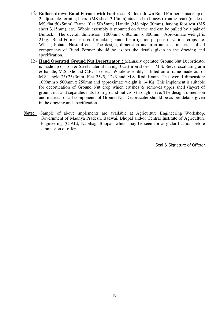- 12- **Bullock drawn Bund Former with Foot rest**: Bullock drawn Bund Former is made up of 2 adjustable forming board (MS sheet 3.15mm) attached to braces (front & rear) (made of MS flat 50x5mm) Frame (flat 50x5mm) Handle (MS pipe 30mm), having foot rest (MS sheet 3.15mm), etc. Whole assembly is mounted on frame and can be pulled by a pair of Bullock. The overall dimension: 1000mm x 865mm x 800mm. Aproximate wiehgt is 21kg. Bund Former is used formaking bunds for irrigation purpose in various crops, i.e. Wheat, Potato, Nustard etc. The design, dimension and iron an steel materials of all components of Bund Former should be as per the details given in the drawing and specification.
- 13- **Hand Operated Ground Nut Decorticator :** Manually operated Ground Nut Decorticator is made up of Iron & Steel material having 3 cast iron shoes, 1 M.S. Sieve, oscillating arm & handle, M.S.axle and C.R. sheet etc. Whole assembly is fitted on a frame made out of M.S. angle 25x25x3mm, Flat 25x5, 12x3 and M.S. Rod 10mm. The overall dimension: 1090mm x 500mm x 250mm and approximate weight is 14 Kg. This implement is suitable for decortication of Ground Nut crop which crushes & removes upper shell (layer) of ground nut and separates nuts from ground nut crop through sieve. The design, dimension and material of all components of Ground Nut Decorticater should be as per details given in the drawing and specification.
- **Note:** Sample of above implements are available at Agriculture Engineering Workshop, Government of Madhya Pradesh, Badwai, Bhopal and/or Central Institute of Agriculture Engineering (CIAE), Nabibag, Bhopal, which may be seen for any clarification before submission of offer.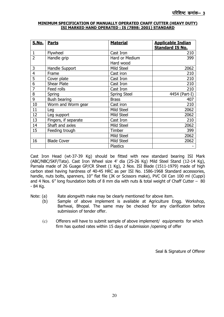### **MINIMUM SPECIFICATION OF MANUALLY OPERATED CHAFF CUTTER (HEAVY DUTY) ISI MARKED HAND OPERATED : IS (7898: 2001) STANDARD**

| <b>S.No.</b>            | <b>Parts</b>         | <b>Material</b>     | <b>Applicable Indian</b><br><b>Standard IS No.</b> |
|-------------------------|----------------------|---------------------|----------------------------------------------------|
| $\mathbf{1}$            | Flywheel             | Cast Iron           | 210                                                |
| $\overline{2}$          | Handle grip          | Hard or Medium      | 399                                                |
|                         |                      | Hard wood           |                                                    |
| 3                       | Handle Support       | Mild Steel          | 2062                                               |
| $\overline{\mathbf{4}}$ | Frame                | Cast iron           | 210                                                |
| 5                       | Cover plate          | Cast Iron           | 210                                                |
| 6                       | <b>Shear Plate</b>   | Cast Iron           | 210                                                |
| $\overline{7}$          | Feed rolls           | Cast Iron           | 210                                                |
| 8                       | Spring               | <b>Spring Steel</b> | 4454 (Part-I)                                      |
| 9                       | Bush bearing         | <b>Brass</b>        | 407                                                |
| 10                      | Worm and Worm gear   | Cast iron           | 210                                                |
| 11                      | Leg                  | Mild Steel          | 2062                                               |
| 12                      | Leg support          | Mild Steel          | 2062                                               |
| 13                      | Fingers, if separate | Cast Iron           | 210                                                |
| 14                      | Shaft and axles      | Mild Steel          | 2062                                               |
| 15                      | Feeding trough       | Timber              | 399                                                |
|                         |                      | Mild Steel          | 2062                                               |
| 16                      | <b>Blade Cover</b>   | Mild Steel          | 2062                                               |
|                         |                      | <b>Plastics</b>     |                                                    |

Cast Iron Head (wt-37-39 Kg) should be fitted with new standard bearing ISI Mark (ABC/NBC/SKF/Tata). Cast Iron Wheel size 4' dia (25-26 Kg) Mild Steel Stand (12-14 Kg), Parnala made of 26 Guage GP/CR Sheet (1 Kg), 2 Nos. ISI Blade (1511-1979) made of high carbon steel having hardness of 40-45 HRC as per ISI No. 1586-1968 Standard accessories, handle, nuts bolts, spanners, 10" flat file (JK or Scissors make), PVC Oil Can 100 ml (Cuppi) and 4 Nos. 6" long foundation bolts of 8 mm dia with nuts & total weight of Chaff Cutter – 80 - 84 Kg.

Note: (a) Rate alongwith make may be clearly mentioned for above item.

- (b) Sample of above implement is available at Agriculture Engg. Workshop, Barhwai, Bhopal. The same may be checked for any clarification before submission of tender offer.
- (c) Offerers will have to submit sample of above implement/ equipments for which firm has quoted rates within 15 days of submission /opening of offer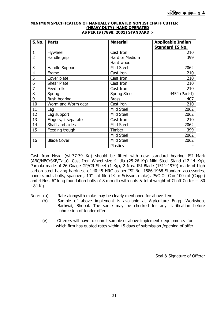#### **MINIMUM SPECIFICATION OF MANUALLY OPERATED NON ISI CHAFF CUTTER (HEAVY DUTY) HAND OPERATED AS PER IS (7898: 2001) STANDARD :-**

| <b>S.No.</b>   | <b>Parts</b>         | <b>Material</b>     | <b>Applicable Indian</b><br><b>Standard IS No.</b> |
|----------------|----------------------|---------------------|----------------------------------------------------|
| $\mathbf 1$    | Flywheel             | Cast Iron           | 210                                                |
| $\overline{2}$ | Handle grip          | Hard or Medium      | 399                                                |
|                |                      | Hard wood           |                                                    |
| 3              | Handle Support       | Mild Steel          | 2062                                               |
| 4              | Frame                | Cast iron           | 210                                                |
| 5              | Cover plate          | Cast Iron           | 210                                                |
| 6              | <b>Shear Plate</b>   | Cast Iron           | 210                                                |
| $\overline{7}$ | Feed rolls           | Cast Iron           | 210                                                |
| 8              | Spring               | <b>Spring Steel</b> | 4454 (Part-I)                                      |
| 9              | Bush bearing         | <b>Brass</b>        | 407                                                |
| 10             | Worm and Worm gear   | Cast iron           | 210                                                |
| 11             | Leg                  | Mild Steel          | 2062                                               |
| 12             | Leg support          | Mild Steel          | 2062                                               |
| 13             | Fingers, if separate | Cast Iron           | 210                                                |
| 14             | Shaft and axles      | Mild Steel          | 2062                                               |
| 15             | Feeding trough       | Timber              | 399                                                |
|                |                      | Mild Steel          | 2062                                               |
| 16             | <b>Blade Cover</b>   | Mild Steel          | 2062                                               |
|                |                      | <b>Plastics</b>     |                                                    |

Cast Iron Head (wt-37-39 Kg) should be fitted with new standard bearing ISI Mark (ABC/NBC/SKF/Tata). Cast Iron Wheel size 4' dia (25-26 Kg) Mild Steel Stand (12-14 Kg), Parnala made of 26 Guage GP/CR Sheet (1 Kg), 2 Nos. ISI Blade (1511-1979) made of high carbon steel having hardness of 40-45 HRC as per ISI No. 1586-1968 Standard accessories, handle, nuts bolts, spanners, 10" flat file (JK or Scissors make), PVC Oil Can 100 ml (Cuppi) and 4 Nos. 6" long foundation bolts of 8 mm dia with nuts & total weight of Chaff Cutter – 80 - 84 Kg.

Note: (a) Rate alongwith make may be clearly mentioned for above item.

- (b) Sample of above implement is available at Agriculture Engg. Workshop, Barhwai, Bhopal. The same may be checked for any clarification before submission of tender offer.
- (c) Offerers will have to submit sample of above implement / equipments for which firm has quoted rates within 15 days of submission /opening of offer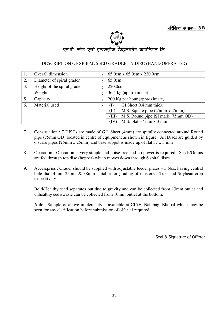

### DESCRIPTION OF SPIRAL SEED GRADER – 7 DISC (HAND OPERATED)

|    | Overall dimension           | 65.0cm x 65.0cm x 220.0cm                     |  |
|----|-----------------------------|-----------------------------------------------|--|
| 2. | Diameter of spiral grader   | 65.0cm                                        |  |
| 3. | Height of the spiral grader | 220.0cm                                       |  |
| 4. | Weight                      | 36.5 kg (approximate)                         |  |
| 5. | Capacity                    | 200 Kg per hour (approximate)                 |  |
| 6. | Material used               | GI Sheet 0.4 mm thick                         |  |
|    |                             | M.S. Square pipe (25mm x 25mm)<br>(H          |  |
|    |                             | M.S. Round pipe ISI mark (75mm OD)<br>(III)   |  |
|    |                             | M.S. Flat $37 \text{ mm} \times 3 \text{ mm}$ |  |

- 7. Construction : 7 DISCs are made of G.I. Sheet (4mm) are spirally connected around Round pipe (75mm OD) located in centre of equipment as shown in figure. All Discs are guided by 6 suare pipes (25mm x 25mm) and base suppot is made up of flat 37 x 3 mm
- 8. Operation : Operation is very simple and noise free and no power is required. Seeds/Grains are fed through top disc (hopper) which moves down through 6 spital discs.
- 9. Accesspries : Grader should be supplied with adjustable feeder plates 3 Nos. having central hole dia 14mm, 25mm & 38mm suitable for grading of mustered, Tuer and Soybean crop respectively.

 Bold/Healthy seed separates out due to gravity and can be collected from 13mm outlet and unhealthy eeds/waste can be collected from 10mm outlet at the bottom.

**Note**: Sample of above implements is available at CIAE, Nabibag, Bhopal which may be seen for any clarification before submission of offer, if required.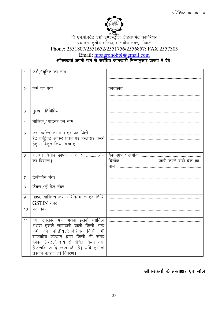

# ्ल्ह्या हर्ण्डस्ट्रीज डेव्हलपमेंट कार्पोरेशन<br>पंचानन, तृतीय मंजिल, मालवीय नगर, भोपाल Phone: 2551807/2551652/2551756/2556857; FAX 2557305

Email: mpagrohobpl@gmail.com<br>| ऑफरकर्ता अपनी फर्म से संबंधित जानकारी निम्नानुसार प्रारूप में देवें

| 1.             | फर्म/यूनिट का नाम                            |  |
|----------------|----------------------------------------------|--|
|                |                                              |  |
|                |                                              |  |
| $\overline{2}$ | फर्म का पता                                  |  |
|                |                                              |  |
|                |                                              |  |
| 3              | मुख्य गतिविधियां                             |  |
| $\overline{4}$ | मालिक / पार्टनर का नाम                       |  |
| 5              | उस व्यक्ति का नाम एवं पद जिसे                |  |
|                | रेट कांट्रेक्ट आफर प्रपत्र पर हस्ताक्षर करने |  |
|                | हेतू अधिकृत किया गया हो।                     |  |
|                |                                              |  |
| 6              | संलग्न डिमांड ड्राफ्ट राशि रू /-             |  |
|                | का विवरण।                                    |  |
|                |                                              |  |
| $\overline{7}$ | टेलीफोन नंबर                                 |  |
| 8              | फैक्स / ई मेल नंबर                           |  |
| 9              | म0प्र0 वाणिज्य कर अधिनियम कं एवं तिथि,       |  |
|                | GSTIN नंबर                                   |  |
| 10             | पेन नंबर                                     |  |
| 11             | क्या उपरोक्त फर्म अथवा इसके स्वामित्व        |  |
|                | अथवा इसके साझेदारी वाली किसी अन्य            |  |
|                | फर्म को केन्द्रीय / प्रादेशिक किसी भी        |  |
|                | शासकीय संस्थान द्वारा किसी भी समय            |  |
|                | ब्लेक लिस्ट / प्रदाय से वंचित किया गया       |  |
|                | है/राशि आदि जप्त की है। यदि हां तो           |  |
|                | उसका कारण एवं विवरण।                         |  |

ऑफरकर्ता के हस्ताक्षर एवं सील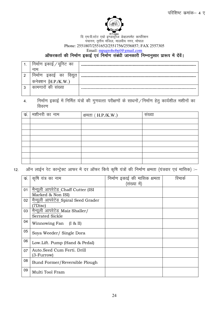

### m Fagno<br>दि एम.पी.स्टेट एग्रो इण्डस्ट्रीज डेव्हलपमेंट कार्पोरेशन iapkuu] r`rh; eafty] ekyoh; uxj] Hkksiky Phone: 2551807/2551652/2551756/2556857; FAX 2557305

Email: **mpagrohobpl@gmail.com** 

### ऑफरकर्ता की निर्माण इकाई एवं निर्माण संबंधी जानकारी निम्नानुसार प्रारूप में देंवें।

| . .    | निमाण इकाइ ⁄ युनिट का               |  |
|--------|-------------------------------------|--|
|        | नाम                                 |  |
|        | का<br>।वद्यत<br>ક ળાક<br><b>HHI</b> |  |
|        | कनेक्शन (H.P./K.W.)                 |  |
| ົ<br>د | का<br>मगारा                         |  |
|        |                                     |  |

### 4. Fिर्माण इकाई में निर्मित यंत्रों की गुणवत्ता परीक्षणों के साधनों /निर्माण हेतु कार्यशील मशीनों का विवरण

| क. | मशीनरी का नाम | क्षमता ( H.P./K.W.) | $\cdot$<br>संख्या |
|----|---------------|---------------------|-------------------|
|    |               |                     |                   |
|    |               |                     |                   |
|    |               |                     |                   |
|    |               |                     |                   |
|    |               |                     |                   |
|    |               |                     |                   |
|    |               |                     |                   |
|    |               |                     |                   |

12. ऑन लाईन रेट कान्ट्रेक्ट आफर में दर ऑफर किये कृषि यंत्रों की निर्माण क्षमता (यंत्रवार एवं मासिक) :–

| कं. | कृषि यंत्र का नाम                        | निर्माण इकाई की मासिक क्षमता | रिमाक |
|-----|------------------------------------------|------------------------------|-------|
|     |                                          | (संख्या में)                 |       |
| 01  | मैन्यूली आपरेटेड Chaff Cutter (ISI       |                              |       |
|     | Marked & Non ISI)                        |                              |       |
| 02  | मैन्यूली आपरेटेड Spiral Seed Grader      |                              |       |
|     | 7Disc)                                   |                              |       |
| 03  | मैन्यूली आपरेटेड Maiz Shaller/           |                              |       |
|     | <b>Serrated Sickle</b>                   |                              |       |
| 04  | Winnowing Fan<br>$(I \& II)$             |                              |       |
| 05  | Soya Weeder/ Single Dora                 |                              |       |
| 06  | Low.Lift. Pump (Hand & Pedal)            |                              |       |
| 07  | Auto.Seed Cum Ferti. Drill<br>(3-Furrow) |                              |       |
| 08  | Bund Former/Reversible Plough            |                              |       |
| 09  | Multi Tool Fram                          |                              |       |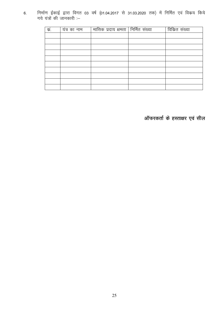निर्माण ईकाई द्वारा विगत 03 वर्ष (01.04.2017 से 31.03.2020 तक) में निर्मित एवं विक्रय किये  $6.$ गये यंत्रों की जानकारी :–

| $\overline{\overline{\Phi}}$ . | यंत्र का नाम | मासिक प्रदाय क्षमता   निर्मित संख्या | विकित संख्या |
|--------------------------------|--------------|--------------------------------------|--------------|
|                                |              |                                      |              |
|                                |              |                                      |              |
|                                |              |                                      |              |
|                                |              |                                      |              |
|                                |              |                                      |              |
|                                |              |                                      |              |
|                                |              |                                      |              |
|                                |              |                                      |              |
|                                |              |                                      |              |
|                                |              |                                      |              |

ऑफरकर्ता के हस्ताक्षर एवं सील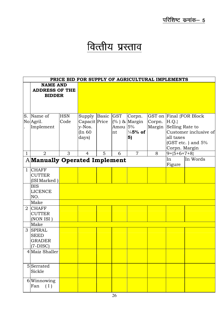# वित्तीय प्रस्ताव

|              | PRICE BID FOR SUPPLY OF AGRICULTURAL IMPLEMENTS |            |                  |   |           |                     |        |                 |                         |
|--------------|-------------------------------------------------|------------|------------------|---|-----------|---------------------|--------|-----------------|-------------------------|
|              | <b>NAME AND</b>                                 |            |                  |   |           |                     |        |                 |                         |
|              | <b>ADDRESS OF THE</b>                           |            |                  |   |           |                     |        |                 |                         |
|              | <b>BIDDER</b>                                   |            |                  |   |           |                     |        |                 |                         |
|              |                                                 |            |                  |   |           |                     |        |                 |                         |
|              |                                                 |            |                  |   |           |                     |        |                 |                         |
|              |                                                 |            |                  |   |           |                     |        |                 |                         |
|              | S. Name of                                      | <b>HSN</b> | Supply Basic GST |   |           | Corpn.              |        |                 | GST on Final {FOR Block |
|              | No Agril.                                       | Code       | Capacit Price    |   |           | $(\%$ ) & Margin    | Corpn. | $ H.Q.\rangle$  |                         |
|              | Implement                                       |            | y-Nos.           |   | Amou $5%$ |                     | Margin | Selling Rate to |                         |
|              |                                                 |            | (In 60           |   | nt        | $\frac{1}{4}$ 5% of |        |                 | Customer inclusive of   |
|              |                                                 |            | days)            |   |           | 5)                  |        | all taxes       |                         |
|              |                                                 |            |                  |   |           |                     |        |                 | (GST etc. ) and $5%$    |
|              |                                                 |            |                  |   |           |                     |        | Corpn. Margin   |                         |
| $\mathbf{1}$ | $\overline{2}$                                  | 3          | $\overline{4}$   | 5 | 6         | $\overline{7}$      | 8      | $9 = {5+6+7+8}$ |                         |
|              | <b>AManually Operated Implement</b>             |            |                  |   |           |                     |        | In              | In Words                |
|              |                                                 |            |                  |   |           |                     |        | Figure          |                         |
| $\mathbf{1}$ | <b>CHAFF</b>                                    |            |                  |   |           |                     |        |                 |                         |
|              | <b>CUTTER</b>                                   |            |                  |   |           |                     |        |                 |                         |
|              | (ISI Marked)                                    |            |                  |   |           |                     |        |                 |                         |
|              | <b>BIS</b>                                      |            |                  |   |           |                     |        |                 |                         |
|              | <b>LICENCE</b>                                  |            |                  |   |           |                     |        |                 |                         |
|              | NO.                                             |            |                  |   |           |                     |        |                 |                         |
|              | Make                                            |            |                  |   |           |                     |        |                 |                         |
|              | 2 CHAFF                                         |            |                  |   |           |                     |        |                 |                         |
|              | <b>CUTTER</b>                                   |            |                  |   |           |                     |        |                 |                         |
|              | (NON ISI)                                       |            |                  |   |           |                     |        |                 |                         |
|              | Make                                            |            |                  |   |           |                     |        |                 |                         |
|              | 3 SPIRAL                                        |            |                  |   |           |                     |        |                 |                         |
|              | <b>SEED</b>                                     |            |                  |   |           |                     |        |                 |                         |
|              | <b>GRADER</b>                                   |            |                  |   |           |                     |        |                 |                         |
|              | $(7-DISC)$                                      |            |                  |   |           |                     |        |                 |                         |
|              | 4 Maiz Shaller                                  |            |                  |   |           |                     |        |                 |                         |
|              |                                                 |            |                  |   |           |                     |        |                 |                         |
|              | 5Serrated                                       |            |                  |   |           |                     |        |                 |                         |
|              | Sickle                                          |            |                  |   |           |                     |        |                 |                         |
|              |                                                 |            |                  |   |           |                     |        |                 |                         |
|              | 6Winnowing                                      |            |                  |   |           |                     |        |                 |                         |
|              | (I)<br>Fan                                      |            |                  |   |           |                     |        |                 |                         |
|              |                                                 |            |                  |   |           |                     |        |                 |                         |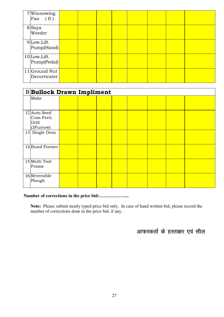| 7Winnowing<br>$\vert$ Fan (II)                |  |  |  |  |
|-----------------------------------------------|--|--|--|--|
| 8Soya<br>Weeder                               |  |  |  |  |
| $9$ Low.Lift.<br>Pump(Hand)                   |  |  |  |  |
| $10$ Low.Lift.<br>$\text{Pump}(\text{Pedal})$ |  |  |  |  |
| $11$ Ground Nut<br>Decorticater               |  |  |  |  |

| <b>BBullock Drawn Impliment</b>                  |  |  |  |  |  |  |  |  |
|--------------------------------------------------|--|--|--|--|--|--|--|--|
| Make                                             |  |  |  |  |  |  |  |  |
| 12 Auto.Seed<br>Cum Ferti.<br>Drill<br>(3Furrow) |  |  |  |  |  |  |  |  |
| 13 Single Dora                                   |  |  |  |  |  |  |  |  |
| 14 Bund Former                                   |  |  |  |  |  |  |  |  |
| 15 Multi Tool<br>Frame                           |  |  |  |  |  |  |  |  |
| $16$ Reversible<br>Plough                        |  |  |  |  |  |  |  |  |

### **Number of corrections in the price bid:………………..**

**Note:** Please submit neatly typed price bid only. In case of hand written bid, please record the number of corrections done in the price bid, if any.

आफरकर्ता के हस्ताक्षर एवं सील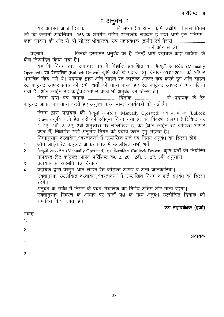परिशिष्ट 6

### <u>: अनुबध</u> ::

जो कि कम्पनी अधिनियम 1956 के अंतर्गत गठित शासकीय उपक्रम हैं तथा आगे इसे ''निगम'' ..... पदनाम .......................... जिनके हस्ताक्षर अनुबंध पर है, जिन्हें आगे प्रदायक कहा जावेगा, के

बीच निष्पादित किया गया है।

यह कि निगम द्वारा समाचार पत्र में विज्ञप्ति प्रकाशित कर मैन्यूली आपरेटेड (Manually Operated) एवं बैलचलित (Bullock Drawn) कृषि यंत्रों के प्रदाय हेतु दिनांक 09.02.2021 को ऑफर आमंत्रित किये गये थे। प्रदायक द्वारा ऑन लाईन रेट कांट्रेक्ट ऑफर कय करते हुए ऑन लाईन रेट कांट्रेक्ट आफर प्रपत्र की सभी शर्तो को मान्य करते हुए रेट कांट्रेक्ट आफर में भाग लिया गया है। ऑन लाईन रेट कांट्रेक्ट आफर प्रपत्र भी अनुबंध का हिस्सा है।

.<br>निगम द्वारा पत्र कमांक .......................... दिनांक .............................. से प्रदायक के रेट कांट्रेक्ट आफर को मान्य करते हुए अनुबंध करने बाबत् कार्यवाही की गई है।

निगम द्वारा प्रदायक की मैन्यूली आपरेटेड (Manually Operated) एवं बैलचलित (Bullock Drawn) कृषि यंत्रों हेतु दरों को स्वीकृत किया गया है, का विवरण संलग्न (परिशिष्ट क्र. 2, 2ए....2बी, 3, 3ए, 3बी अनुसार) पर उल्लेखित है, का (आन लाईन रेट कांट्रेक्ट आफर प्रपत्र में) निर्धारित शर्तो अनुसार निगम को प्रदाय करने हेतु सहमत है।

निम्नानुसार दस्तावेज / दस्तावेजों में उल्लेखित शर्ते एवं नियम अनुबंध का हिस्सा होंगे:-

- ऑन लाईन रेट कांट्रेक्ट आफर प्रपत्र में उल्लेखित सभी शर्तें।  $1.$
- मैन्यूली आपरेटेड (Manually Operated) एवं बैलचलित (Bullock Drawn) कृषि यंत्रों की निर्धारित  $\overline{2}$ मापदण्ड (रेट कांट्रेक्ट आफर परिशिष्ट क0 2, 2ए.....2बी, 3, 3ए, 3बी अनुसार)
- प्रदायक का सहमति पत्र दिनांक .........................  $3<sub>l</sub>$
- प्रदायक द्वारा प्रस्तुत आन लाईन रेट कांट्रेक्ट आफर व अन्य जानकारियां।  $4.$ उक्तानुसार उल्लेखित दस्तावेज/दस्तावेजों में उल्लेखित नियम व शर्ते अनुबंध का हिस्सा रहेंगे ।

अनुबंध के संबंध में निगम के प्रबंध संचालक का निर्णय अंतिम ओर मान्य रहेगा। उक्तानुसार विवरण के आधार पर दोनों पक्ष के मध्य अनुबंध उल्लेखित दिनांक को संपादित किया जाता है।

उप महाप्रबंधक (इंजी)

| गवाह :           | . .<br>. . |
|------------------|------------|
| $\overline{1}$ . |            |
| 2.               |            |
|                  | प्रदायक    |
| 1.               |            |
| $\mathcal{P}$    |            |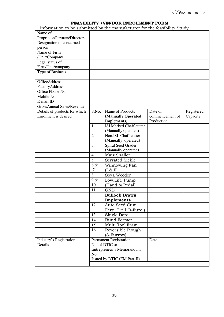### **FEASIBILITY /VENDOR ENROLLMENT FORM**

Information to be submitted by the manufacturer for the feasibility Study

| Name of                          |                           |                                |                 |            |
|----------------------------------|---------------------------|--------------------------------|-----------------|------------|
| Proprietor/Partners/Directors    |                           |                                |                 |            |
| Designation of concerned         |                           |                                |                 |            |
| person                           |                           |                                |                 |            |
| Name of Firm                     |                           |                                |                 |            |
| /Unit/Company                    |                           |                                |                 |            |
| Legal status of                  |                           |                                |                 |            |
| Firm/Unit/company                |                           |                                |                 |            |
| Type of Business                 |                           |                                |                 |            |
|                                  |                           |                                |                 |            |
| <b>OfficeAddress</b>             |                           |                                |                 |            |
| FactoryAddress                   |                           |                                |                 |            |
| Office Phone No.                 |                           |                                |                 |            |
| Mobile No.                       |                           |                                |                 |            |
| E-mail ID                        |                           |                                |                 |            |
| <b>GrossAnnual Sales/Revenue</b> |                           |                                |                 |            |
| Details of products for which    | S.No.                     | Name of Products               | Date of         | Registered |
| Enrolment is desired             |                           | (Manually Operated             | commencement of | Capacity   |
|                                  |                           | Implements)                    | Production      |            |
|                                  | $\mathbf{1}$              | <b>ISI Marked Chaff cutter</b> |                 |            |
|                                  |                           | (Manually operated)            |                 |            |
|                                  | $\overline{2}$            | Non.ISI Chaff cutter           |                 |            |
|                                  |                           | (Manually operated)            |                 |            |
|                                  | 3                         | Spiral Seed Grader             |                 |            |
|                                  |                           | (Manually operated)            |                 |            |
|                                  | $\overline{4}$            | Maiz Shaller                   |                 |            |
|                                  | 5                         | <b>Serrated Sickle</b>         |                 |            |
|                                  | 6 &                       | Winnowing Fan                  |                 |            |
|                                  | 7                         | $(I & \& II)$                  |                 |            |
|                                  | 8                         | Soya Weeder                    |                 |            |
|                                  | 9 &                       | Low.Lift. Pump                 |                 |            |
|                                  | 10                        | (Hand & Pedal)                 |                 |            |
|                                  | 11                        | <b>GND</b>                     |                 |            |
|                                  |                           | <b>Bullock Drawn</b>           |                 |            |
|                                  |                           | Implements                     |                 |            |
|                                  | 12                        | Auto.Seed Cum                  |                 |            |
|                                  |                           | Ferti. Drill (3-Furo.)         |                 |            |
|                                  | 13                        | Single Dora                    |                 |            |
|                                  | 14                        | <b>Bund Former</b>             |                 |            |
|                                  | 15                        | Multi Tool Fram                |                 |            |
|                                  | 16                        | Reversible Plough              |                 |            |
|                                  |                           | (3-Furrow)                     |                 |            |
| Industry's Registration          |                           | <b>Permanent Registration</b>  | Date            |            |
| Details                          |                           | No. of DTIC or                 |                 |            |
|                                  | Entrepreneur's Memorandum |                                |                 |            |
|                                  | No.                       |                                |                 |            |
|                                  |                           | Issued by DTIC (EM Part-II)    |                 |            |
|                                  |                           |                                |                 |            |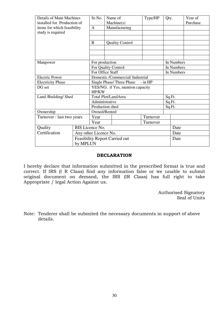| <b>Details of Main Machines</b><br>installed for Production of | Sr.No.                                |                                       | Name of<br>Machine(s)  | Type/HP  | Qty.       |            | Year of<br>Purchase |  |
|----------------------------------------------------------------|---------------------------------------|---------------------------------------|------------------------|----------|------------|------------|---------------------|--|
| items for which feasibility                                    | A                                     |                                       | Manufacturing          |          |            |            |                     |  |
| study is required                                              |                                       |                                       |                        |          |            |            |                     |  |
|                                                                |                                       |                                       |                        |          |            |            |                     |  |
|                                                                | B                                     |                                       | <b>Quality Control</b> |          |            |            |                     |  |
|                                                                |                                       |                                       |                        |          |            |            |                     |  |
|                                                                |                                       |                                       |                        |          |            |            |                     |  |
|                                                                |                                       |                                       |                        |          |            |            |                     |  |
| Manpower                                                       | For production                        |                                       |                        |          |            | In Numbers |                     |  |
|                                                                |                                       |                                       | For Quality Control    |          | In Numbers |            |                     |  |
|                                                                |                                       | For Office Staff                      |                        |          |            |            | In Numbers          |  |
| <b>Electric Power</b>                                          |                                       | Domestic /Commercial/ Industrial      |                        |          |            |            |                     |  |
| <b>Electricity Phase</b>                                       |                                       | Single Phase/Three Phase<br>$-$ in HP |                        |          |            |            |                     |  |
| DG set                                                         |                                       | YES/NO, if Yes, mention capacity      |                        |          |            |            |                     |  |
|                                                                |                                       | HP/KW                                 |                        |          |            |            |                     |  |
| Land /Building/ Shed                                           |                                       | Total Plot/LandArea                   |                        |          |            |            | Sq.Ft.              |  |
|                                                                |                                       | Administrative                        |                        |          |            |            | Sq.Ft.              |  |
|                                                                |                                       | Production shed                       |                        |          |            |            | Sq.Ft.              |  |
| Ownership                                                      |                                       | Owned/Rented                          |                        |          |            |            |                     |  |
| Turnover : last two years                                      | Year                                  |                                       |                        | Turnover |            |            |                     |  |
|                                                                | Year                                  |                                       |                        | Turnover |            |            |                     |  |
| Quality                                                        | BIS Licence No.                       |                                       |                        |          |            |            |                     |  |
| Certification                                                  | Any other Licence No.                 |                                       |                        |          | Date       |            |                     |  |
|                                                                | <b>Feasibility Report Carried out</b> |                                       |                        |          |            | Date       |                     |  |
|                                                                | by MPLUN                              |                                       |                        |          |            |            |                     |  |

### **DECLARATION**

I hereby declare that information submitted in the prescribed format is true and correct. If IRS (I R Claas) find any information false or we unable to submit original document on demand, the IRS (IR Claas) has full right to take Appropriate / legal Action Against us.

> Authorised Signatory Seal of Units

Note: Tenderer shall be submited the necessary documents in support of above details.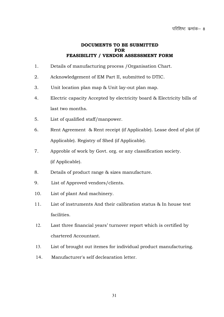### **DOCUMENTS TO BE SUBMITTED FOR FEASIBILITY / VENDOR ASSESSMENT FORM**

- 1. Details of manufacturing process /Organisation Chart.
- 2. Acknowledgement of EM Part II, submitted to DTIC.
- 3. Unit location plan map & Unit lay-out plan map.
- 4. Electric capacity Accepted by electricity board & Electricity bills of last two months.
- 5. List of qualified staff/manpower.
- 6. Rent Agreement & Rent receipt (if Applicable). Lease deed of plot (if Applicable). Registry of Shed (if Applicable).
- 7. Approble of work by Govt. org. or any classification society. (if Applicable).
- 8. Details of product range & sizes manufacture.
- 9. List of Approved vendors/clients.
- 10. List of plant And machinery.
- 11. List of instruments And their calibration status & In house test facilities.
- 12. Last three financial years' turnover report which is certified by chartered Accountant.
- 13. List of brought out itemes for individual product manufacturing.
- 14. Manufacturer's self declearation letter.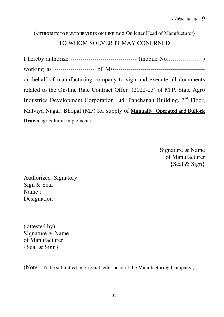### (**AUTHORITY TO PARTICIPATE IN ON-LINE RCO** On letter Head of Manufucturer) TO WHOM SOEVER IT MAY CONERNED

I hereby authorize --------------------------------- (mobile No………………) working as -------------------- of M/s-------------------------------------------- on behalf of manufacturing company to sign and execute all documents related to the On-line Rate Contract Offer (2022-23) of M.P. State Agro Industries Development Corporation Ltd. Panchanan Building, 3<sup>rd</sup> Floor, Malviya Nagar, Bhopal (MP) for supply of **Manually Operated** and **Bullock Drawn** agricultural implements.

> Signature & Name of Manufacturer {Seal & Sign}

Authorized Signatory Sign & Seal Name : Designation :

( attested by) Signature & Name of Manufacturer {Seal & Sign}

(Note:- To be submitted in original letter head of the Manufacturing Company.)